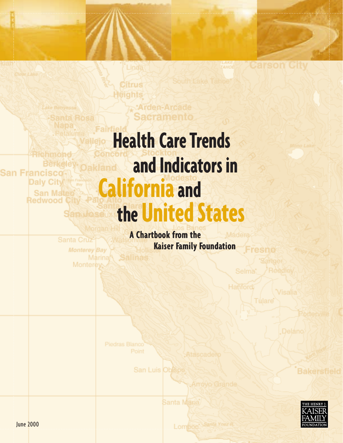# **Health Care Trends** and Indicators in **California and** the United States

**Arden-Arcade** Sacramento

Ditrus eights

> A Chartbook from the **Kaiser Family Foundation**

> > Santa Maria

Lomboc Santa Ynez A

San Luis Oblson



**Visalia** 

**June 2000** 

San Francisco

Daly City

**San Mate** Redwood

Santa Cruz<sup>+</sup>

**Monterey** Bay

Monterey.

Marina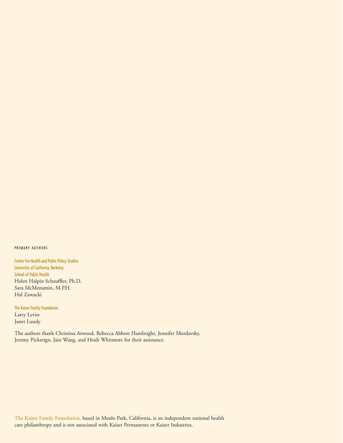#### PRIMARY AUTHORS

Center for Health and Public Policy Studies University of California, Berkeley School of Public Health Helen Halpin Schauffler, Ph.D. Sara McMenamin, M.P.H. Hal Zawacki

The Kaiser Family Foundation Larry Levitt Janet Lundy

The authors thank Christina Atwood, Rebecca Abbott Hambright, Jennifer Mordavsky, Jeremy Pickreign, Jain Wang, and Heidi Whitmore for their assistance.

The Kaiser Family Foundation, based in Menlo Park, California, is an independent national health care philanthropy and is not associated with Kaiser Permanente or Kaiser Industries.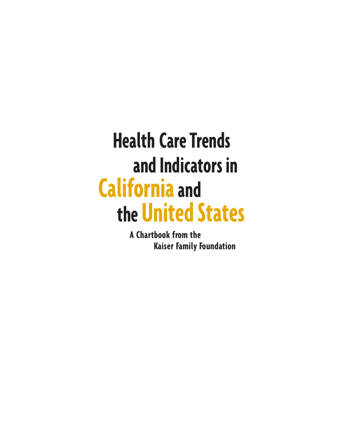# **Health Care Trends and Indicators in California** and **the United States**

**A Chartbook from the Kaiser Family Foundation**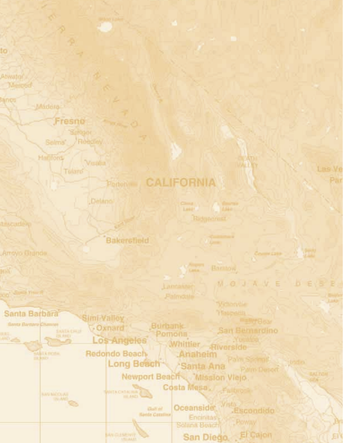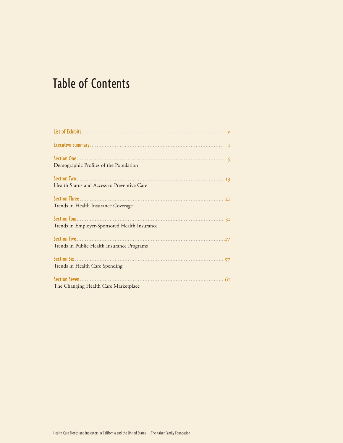# Table of Contents

| Demographic Profiles of the Population        |
|-----------------------------------------------|
|                                               |
| Health Status and Access to Preventive Care   |
|                                               |
| Trends in Health Insurance Coverage           |
|                                               |
| Trends in Employer-Sponsored Health Insurance |
| <b>Section Five.</b>                          |
| Trends in Public Health Insurance Programs    |
| Section Six                                   |
| Trends in Health Care Spending                |
|                                               |
| The Changing Health Care Marketplace          |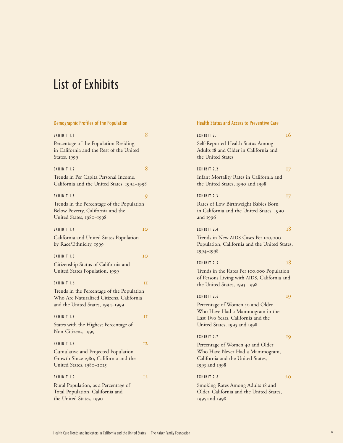# List of Exhibits

| Demographic Profiles of the Population                                                                                                    |             |
|-------------------------------------------------------------------------------------------------------------------------------------------|-------------|
| EXHIBIT 1.1<br>Percentage of the Population Residing<br>in California and the Rest of the United<br>States, 1999                          | 8           |
| EXHIBIT 1.2<br>Trends in Per Capita Personal Income,<br>California and the United States, 1994-1998                                       | 8           |
| EXHIBIT 1.3<br>Trends in the Percentage of the Population<br>Below Poverty, California and the<br>United States, 1980-1998                | 9           |
| EXHIBIT 1.4<br>California and United States Population<br>by Race/Ethnicity, 1999                                                         | IO          |
| EXHIBIT 1.5<br>Citizenship Status of California and<br>United States Population, 1999                                                     | IO          |
| EXHIBIT 1.6<br>Trends in the Percentage of the Population<br>Who Are Naturalized Citizens, California<br>and the United States, 1994-1999 | $_{\rm II}$ |
| EXHIBIT 1.7<br>States with the Highest Percentage of<br>Non-Citizens, 1999                                                                | $_{II}$     |
| EXHIBIT 1.8<br>Cumulative and Projected Population<br>Growth Since 1980, California and the<br>United States, 1980–2025                   | <b>I2</b>   |
| EXHIBIT 1.9<br>Rural Population, as a Percentage of<br>Total Population, California and<br>the United States, 1990                        | 12          |

| <b>Health Status and Access to Preventive Care</b>                                                                                                       |           |
|----------------------------------------------------------------------------------------------------------------------------------------------------------|-----------|
| EXHIBIT 2.1<br>Self-Reported Health Status Among<br>Adults 18 and Older in California and<br>the United States                                           | 16        |
| EXHIBIT 2.2<br>Infant Mortality Rates in California and<br>the United States, 1990 and 1998                                                              | <b>17</b> |
| EXHIBIT 2.3<br>Rates of Low Birthweight Babies Born<br>in California and the United States, 1990<br>and 1996                                             | <b>17</b> |
| EXHIBIT 2.4<br>Trends in New AIDS Cases Per 100,000<br>Population, California and the United States,<br>1994-1998                                        | 18        |
| EXHIBIT 2.5<br>Trends in the Rates Per 100,000 Population<br>of Persons Living with AIDS, California and<br>the United States, 1993-1998                 | 18        |
| EXHIBIT 2.6<br>Percentage of Women 50 and Older<br>Who Have Had a Mammogram in the<br>Last Two Years, California and the<br>United States, 1995 and 1998 | 19        |
| EXHIBIT 2.7<br>Percentage of Women 40 and Older<br>Who Have Never Had a Mammogram,<br>California and the United States,<br>1995 and 1998                 | 19        |
| EXHIBIT 2.8<br>Smoking Rates Among Adults 18 and<br>Older, California and the United States,<br>1995 and 1998                                            | 20        |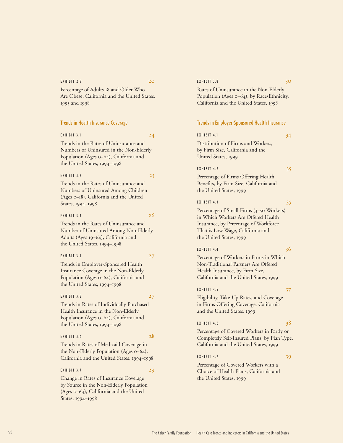**EXHIBIT 2.9** 20

Percentage of Adults 18 and Older Who Are Obese, California and the United States, 1995 and 1998

#### Trends in Health Insurance Coverage

### **EXHIBIT 3.1** 24

Trends in the Rates of Uninsurance and Numbers of Uninsured in the Non-Elderly Population (Ages 0-64), California and the United States, 1994-1998

#### **EXHIBIT 3.2** 25

Trends in the Rates of Uninsurance and Numbers of Uninsured Among Children (Ages o-18), California and the United States, 1994-1998

#### EXHIBIT 3.3 26

Trends in the Rates of Uninsurance and Number of Uninsured Among Non-Elderly Adults (Ages 19–64), California and the United States, 1994-1998

#### **EXHIBIT 3.4** 27

Trends in Employer-Sponsored Health Insurance Coverage in the Non-Elderly Population (Ages 0–64), California and the United States, 1994-1998

#### **EXHIBIT 3.5** 27

Trends in Rates of Individually Purchased Health Insurance in the Non-Elderly Population (Ages 0-64), California and the United States, 1994-1998

#### EXHIBIT 3.6 28

Trends in Rates of Medicaid Coverage in the Non-Elderly Population (Ages  $o-64$ ), California and the United States, 1994-1998

#### **EXHIBIT 3.7** 29

Change in Rates of Insurance Coverage by Source in the Non-Elderly Population (Ages  $o-64$ ), California and the United States, 1994-1998

EXHIBIT 3.8

Rates of Uninsurance in the Non-Elderly Population (Ages 0-64), by Race/Ethnicity, California and the United States,

#### Trends in Employer-Sponsored Health Insurance

**EXHIBIT 4.1** 34

Distribution of Firms and Workers, by Firm Size, California and the United States, 1999

# EXHIBIT 4.2 35

Percentage of Firms Offering Health Benefits, by Firm Size, California and the United States, 1999

#### **EXHIBIT 4.3** 35

Percentage of Small Firms  $(3-50$  Workers) in Which Workers Are Offered Health Insurance, by Percentage of Workforce That is Low Wage, California and the United States,

#### EXHIBIT 4.4 36

Percentage of Workers in Firms in Which Non-Traditional Partners Are Offered Health Insurance, by Firm Size, California and the United States,

#### **EXHIBIT 4.5** 37

Eligibility, Take-Up Rates, and Coverage in Firms Offering Coverage, California and the United States,

# EXHIBIT 4.6 38

Percentage of Covered Workers in Partly or Completely Self-Insured Plans, by Plan Type, California and the United States,

#### **EXHIBIT 4.7** 39

Percentage of Covered Workers with a Choice of Health Plans, California and the United States, 1999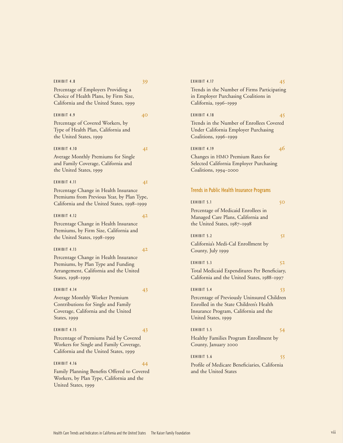**EXHIBIT 4.8** 39

Percentage of Employers Providing a Choice of Health Plans, by Firm Size, California and the United States,

EXHIBIT 4.9

Percentage of Covered Workers, by Type of Health Plan, California and the United States,

and Family Coverage, California and

EXHIBIT 4.10

Average Monthly Premiums for Single

the United States, 1999

EXHIBIT 4.11 4I

Percentage Change in Health Insurance Premiums from Previous Year, by Plan Type, California and the United States, 1998-1999

**EXHIBIT 4.12** 42 Percentage Change in Health Insurance

Premiums, by Firm Size, California and the United States, 1998-1999

**EXHIBIT 4.13** 42

Percentage Change in Health Insurance Premiums, by Plan Type and Funding Arrangement, California and the United States, 1998-1999

### **EXHIBIT 4.14** 43

Average Monthly Worker Premium Contributions for Single and Family Coverage, California and the United **States**, 1999

**EXHIBIT 4.15** 43

Percentage of Premiums Paid by Covered Workers for Single and Family Coverage, California and the United States,

EXHIBIT 4.16

Family Planning Benefits Offered to Covered Workers, by Plan Type, California and the United States, 1999

| EXHIBIT 4.17                                                                                                                                           | 45 |
|--------------------------------------------------------------------------------------------------------------------------------------------------------|----|
| Trends in the Number of Firms Participating<br>in Employer Purchasing Coalitions in<br>California, 1996-1999                                           |    |
| EXHIBIT 4.18                                                                                                                                           | 45 |
| Trends in the Number of Enrollees Covered<br>Under California Employer Purchasing<br>Coalitions, 1996-1999                                             |    |
| EXHIBIT 4.19                                                                                                                                           | 46 |
| Changes in HMO Premium Rates for<br>Selected California Employer Purchasing<br>Coalitions, 1994-2000                                                   |    |
| <b>Trends in Public Health Insurance Programs</b>                                                                                                      |    |
| EXHIBIT 5.1                                                                                                                                            | 50 |
| Percentage of Medicaid Enrollees in<br>Managed Care Plans, California and<br>the United States, 1987-1998                                              |    |
| EXHIBIT 5.2                                                                                                                                            | 5I |
| California's Medi-Cal Enrollment by<br>County, July 1999                                                                                               |    |
| EXHIBIT 5.3                                                                                                                                            | 52 |
| Total Medicaid Expenditures Per Beneficiary,<br>California and the United States, 1988-1997                                                            |    |
| EXHIBIT 5.4                                                                                                                                            | 53 |
| Percentage of Previously Uninsured Children<br>Enrolled in the State Children's Health<br>Insurance Program, California and the<br>United States, 1999 |    |
| EXHIBIT 5.5                                                                                                                                            | 54 |
| Healthy Families Program Enrollment by<br>County, January 2000                                                                                         |    |
| EXHIBIT 5.6                                                                                                                                            | 55 |
| Profile of Medicare Beneficiaries, California<br>and the United States                                                                                 |    |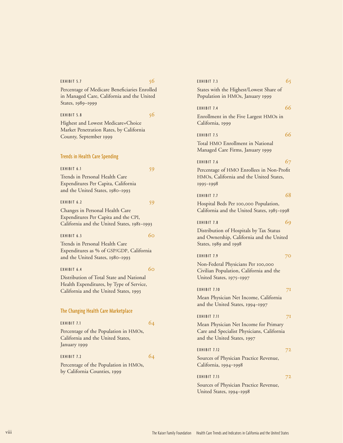EXHIBIT 5.7 56

Percentage of Medicare Beneficiaries Enrolled in Managed Care, California and the United States, 1989-1999

EXHIBIT 5.8 6

Highest and Lowest Medicare+Choice Market Penetration Rates, by California County, September

# Trends in Health Care Spending

EXHIBIT 6.1 59 Trends in Personal Health Care Expenditures Per Capita, California and the United States, 1980-1993

**EXHIBIT 6.2** 59 Changes in Personal Health Care

Expenditures Per Capita and the CPI, California and the United States, 1981-1993

EXHIBIT 6.3 60

Trends in Personal Health Care Expenditures as % of GSP/GDP, California and the United States, 1980-1993

EXHIBIT 6.4

Distribution of Total State and National Health Expenditures, by Type of Service, California and the United States,

# The Changing Health Care Marketplace

EXHIBIT 7.1 64

Percentage of the Population in HMOs, California and the United States, January 1999

EXHIBIT 7.2 64

Percentage of the Population in HMOs, by California Counties, 1999

| EXHIBIT 7.3                                                                                                        | 65 |
|--------------------------------------------------------------------------------------------------------------------|----|
| States with the Highest/Lowest Share of<br>Population in HMOs, January 1999                                        |    |
| EXHIBIT 7.4                                                                                                        | 66 |
| Enrollment in the Five Largest HMOs in<br>California, 1999                                                         |    |
| EXHIBIT 7.5                                                                                                        | 66 |
| Total HMO Enrollment in National<br>Managed Care Firms, January 1999                                               |    |
| EXHIBIT 7.6                                                                                                        | 67 |
| Percentage of HMO Enrollees in Non-Profit<br>HMOs, California and the United States,<br>1995-1998                  |    |
| EXHIBIT 7.7                                                                                                        | 68 |
| Hospital Beds Per 100,000 Population,<br>California and the United States, 1985-1998                               |    |
| EXHIBIT 7.8                                                                                                        | 69 |
| Distribution of Hospitals by Tax Status                                                                            |    |
| and Ownership, California and the United<br>States, 1989 and 1998                                                  |    |
| EXHIBIT 7.9                                                                                                        | 70 |
| Non-Federal Physicians Per 100,000<br>Civilian Population, California and the<br>United States, 1975-1997          |    |
| EXHIBIT 7.10                                                                                                       | 71 |
| Mean Physician Net Income, California<br>and the United States, 1994-1997                                          |    |
| <b>EXHIBIT 7.11</b>                                                                                                | 7I |
| Mean Physician Net Income for Primary<br>Care and Specialist Physicians, California<br>and the United States, 1997 |    |
| <b>EXHIBIT 7.12</b>                                                                                                | 72 |
| Sources of Physician Practice Revenue,<br>California, 1994-1998                                                    |    |
| EXHIBIT 7.13                                                                                                       | 72 |

United States, 1994-1998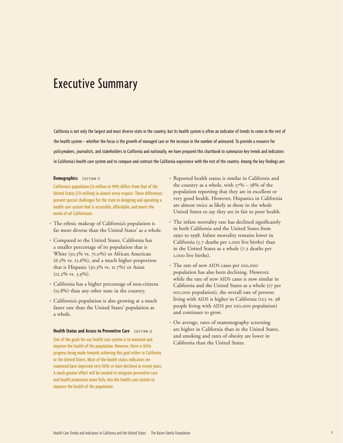# Executive Summary

California is not only the largest and most diverse state in the country, but its health system is often an indicator of trends to come in the rest of the health system – whether the focus is the growth of managed care or the increase in the number of uninsured. To provide a resource for policymakers, journalists, and stakeholders in California and nationally, we have prepared this chartbook to summarize key trends and indicators in California's health care system and to compare and contrast the California experience with the rest of the country. Among the key findings are:

#### **Demographics** (SECTION 1)

California's population (33 million in 1999) differs from that of the United States (273 million) in almost every respect. These differences present special challenges for the state in designing and operating a health care system that is accessible, affordable, and meets the needs of all Californians.

- The ethnic makeup of California's population is far more diverse than the United States' as a whole.
- Compared to the United States, California has a smaller percentage of its population that is White  $(50.3\% \text{ vs. } 71.0\%)$  or African American  $(6.5\% \text{ vs. } 12.6\%),$  and a much higher proportion that is Hispanic (30.3% vs.  $11.7%$ ) or Asian  $(12.2\% \text{ vs. } 3.9\%).$
- California has a higher percentage of non-citizens  $(15.8\%)$  than any other state in the country.
- California's population is also growing at a much faster rate than the United States' population as a whole.

#### **Health Status and Access to Preventive Care** (SECTION 2)

One of the goals for our health care system is to maintain and improve the health of the population. However, there is little progress being made towards achieving this goal either in California or the United States. Most of the health status indicators we examined have improved very little or have declined in recent years. A much greater effort will be needed to integrate preventive care and health promotion more fully into the health care system to improve the health of the population.

- Reported health status is similar in California and the country as a whole, with  $57\%$  –  $58\%$  of the population reporting that they are in excellent or very good health. However, Hispanics in California are almost twice as likely as those in the whole United States to say they are in fair to poor health.
- The infant mortality rate has declined significantly in both California and the United States from 1990 to 1998. Infant mortality remains lower in California  $(5.7$  deaths per 1,000 live births) than in the United States as a whole  $(7.2$  deaths per 1,000 live births).
- The rate of new AIDS cases per 100,000 population has also been declining. However, while the rate of new AIDS cases is now similar in California and the United States as a whole (17 per 100,000 population), the overall rate of persons living with AIDS is higher in California ( $122$  vs.  $98$ people living with AIDS per 100,000 population) and continues to grow.
- On average, rates of mammography screening are higher in California than in the United States, and smoking and rates of obesity are lower in California than the United States.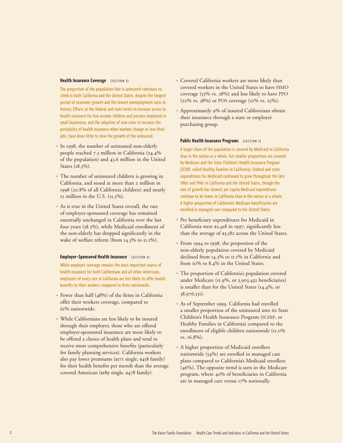#### **Health Insurance Coverage** (SECTION 3)

The proportion of the population that is uninsured continues to climb in both California and the United States, despite the longest period of economic growth and the lowest unemployment rates in history. Efforts at the federal and state levels to increase access to health insurance for low-income children and persons employed in small businesses, and the adoption of new rules to increase the portability of health insurance when workers change or lose their jobs, have done little to slow the growth of the uninsured.

- In 1998, the number of uninsured non-elderly people reached  $7.3$  million in California (24.4%) of the population) and 43.6 million in the United States (18.3%).
- The number of uninsured children is growing in California, and stood at more than 2 million in 1998 (20.8% of all California children) and nearly  $12$  million in the U.S.  $(15.5\%)$ .
- As is true in the United States overall, the rate of employer-sponsored coverage has remained essentially unchanged in California over the last four years  $(58.3\%)$ , while Medicaid enrollment of the non-elderly has dropped significantly in the wake of welfare reform (from  $14.3\%$  to  $11.1\%$ ).

#### **Employer–Sponsored Health Insurance** (SECTION 4)

While employer coverage remains the most important source of health insurance for both Californians and all other Americans, employers of every size in California are less likely to offer health benefits to their workers compared to firms nationwide.

- Fewer than half  $(48%)$  of the firms in California offer their workers coverage, compared to % nationwide.
- While Californians are less likely to be insured through their employer, those who are offered employer-sponsored insurance are more likely to be offered a choice of health plans and tend to receive more comprehensive benefits (particularly for family planning services). California workers also pay lower premiums ( $\frac{\text{sr}}{71}$  single,  $\frac{\text{sg}}{8}$  family) for their health benefits per month than the average covered American (\$189 single, \$478 family).
- Covered California workers are more likely than covered workers in the United States to have HMO coverage ( $53\%$  vs.  $28\%$ ) and less likely to have PPO  $(22\% \text{ vs. } 38\%)$  or POS coverage  $(21\% \text{ vs. } 25\%).$
- Approximately 9% of insured Californians obtain their insurance through a state or employer purchasing group.

#### **Public Health Insurance Programs** (SECTION 5)

A larger share of the population is covered by Medicaid in California than in the nation as a whole, but smaller proportions are covered by Medicare and the State Children's Health Insurance Program (SCHIP, called Healthy Families in California). Federal and state expenditures for Medicaid continued to grow throughout the late 1980s and 1990s in California and the United States, though the rate of growth has slowed; per capita Medicaid expenditures continue to be lower in California than in the nation as a whole. A higher proportion of California's Medicare beneficiaries are enrolled in managed care compared to the United States.

- Per beneficiary expenditures for Medicaid in California were \$2,418 in 1997, significantly less than the average of \$3,582 across the United States.
- From 1994 to 1998, the proportion of the non-elderly population covered by Medicaid declined from  $14.3\%$  to  $11.1\%$  in California and from 10% to 8.4% in the United States.
- The proportion of California's population covered under Medicare (II.9%, or 3,903,432 beneficiaries) is smaller than for the United States  $(14.4\%, or)$ 38,976,551).
- As of September 1999, California had enrolled a smaller proportion of the uninsured into its State Children's Health Insurance Program (SCHIP, or Healthy Families in California) compared to the enrollment of eligible children nationwide (II.0% vs. 16.8%).
- A higher proportion of Medicaid enrollees nationwide  $(54%)$  are enrolled in managed care plans compared to California's Medicaid enrollees  $(46%)$ . The opposite trend is seen in the Medicare program, where 40% of beneficiaries in California are in managed care versus  $17\%$  nationally.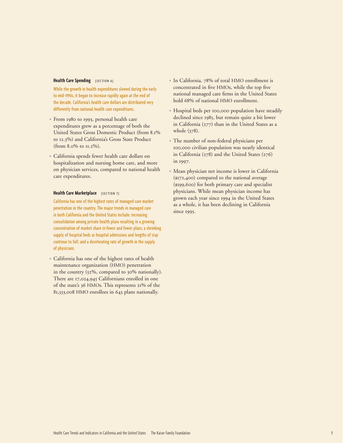#### **Health Care Spending** (SECTION 6)

While the growth in health expenditures slowed during the early to mid-1990s, it began to increase rapidly again at the end of the decade. California's health care dollars are distributed very differently from national health care expenditures.

- From 1980 to 1993, personal health care expenditures grew as a percentage of both the United States Gross Domestic Product (from 8.1% to 12.3%) and California's Gross State Product (from 8.0% to  $11.2\%$ ).
- California spends fewer health care dollars on hospitalization and nursing home care, and more on physician services, compared to national health care expenditures.

#### **Health Care Marketplace** (SECTION 7)

California has one of the highest rates of managed care market penetration in the country. The major trends in managed care in both California and the United States include: increasing consolidation among private health plans resulting in a growing concentration of market share in fewer and fewer plans; a shrinking supply of hospital beds as hospital admissions and lengths of stay continue to fall; and a decelerating rate of growth in the supply of physicians.

• California has one of the highest rates of health maintenance organization (HMO) penetration in the country ( $52\%$ , compared to  $30\%$  nationally). There are 17,024,945 Californians enrolled in one of the state's 36 HMOs. This represents 21% of the 81,333,008 HMO enrollees in 643 plans nationally.

- In California, 78% of total HMO enrollment is concentrated in five HMOs, while the top five national managed care firms in the United States hold 68% of national HMO enrollment.
- Hospital beds per 100,000 population have steadily declined since 1985, but remain quite a bit lower in California  $(277)$  than in the United States as a whole  $(378)$ .
- The number of non-federal physicians per 100,000 civilian population was nearly identical in California ( $278$ ) and the United States ( $276$ ) in 1997.
- Mean physician net income is lower in California  $(s_{172,400})$  compared to the national average  $(s199,600)$  for both primary care and specialist physicians. While mean physician income has grown each year since 1994 in the United States as a whole, it has been declining in California since 1995.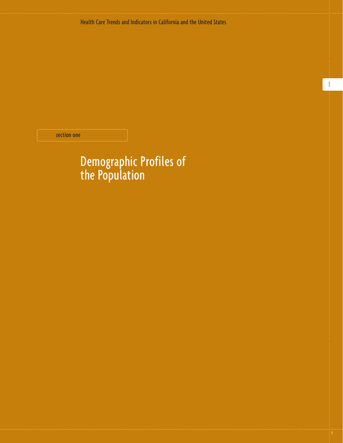Health Care Trends and Indicators in California and the United States

section one

Demographic Profiles of<br>the Population

 $\overline{1}$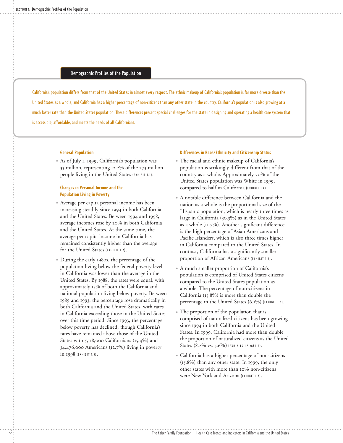. . . . . . . . . . . . . . . . . . . . . . . . . . . . . . . . . . . . . . . . . . . . . . . . . .

. . . . . . . . . . . . . . . . . . . . . . . . . . . . . . . . . . . . . . . . . . . . . . . . . . . . . . . . . . . . . . . . . . . . . . . . . . . . . . . . . . . . . . . . . . . . . . . . . . . . . . . . . . . . . . . . . . . . . . . . . . . . . . . . . . . . . . . . . . . . . . . . . . . . . . . . . . . . . . . . . . . . . . . . . . . . . . . .

### Demographic Profiles of the Population

California's population differs from that of the United States in almost every respect. The ethnic makeup of California's population is far more diverse than the United States as a whole, and California has a higher percentage of non-citizens than any other state in the country. California's population is also growing at a much faster rate than the United States population. These differences present special challenges for the state in designing and operating a health care system that is accessible, affordable, and meets the needs of all Californians.

#### **General Population**

• As of July 1, 1999, California's population was  $33$  million, representing  $12.2\%$  of the  $273$  million people living in the United States (EXHIBIT 1.1).

# **Changes in Personal Income and the Population Living in Poverty**

- Average per capita personal income has been increasing steadily since 1994 in both California and the United States. Between 1994 and 1998, average incomes rose by 20% in both California and the United States. At the same time, the average per capita income in California has remained consistently higher than the average for the United States (EXHIBIT 1.2).
- During the early 1980s, the percentage of the population living below the federal poverty level in California was lower than the average in the United States. By 1988, the rates were equal, with approximately 13% of both the California and national population living below poverty. Between 1989 and 1993, the percentage rose dramatically in both California and the United States, with rates in California exceeding those in the United States over this time period. Since 1993, the percentage below poverty has declined, though California's rates have remained above those of the United States with  $5,118,000$  Californians (15.4%) and  $34,476,$ ooo Americans (12.7%) living in poverty in 1998 (EXHIBIT 1.3).

#### **Differences in Race/Ethnicity and Citizenship Status**

• The racial and ethnic makeup of California's population is strikingly different from that of the country as a whole. Approximately 70% of the United States population was White in 1999, compared to half in California ( EXHIBIT 1.4).

.

.

- A notable difference between California and the nation as a whole is the proportional size of the Hispanic population, which is nearly three times as large in California  $(30.3\%)$  as in the United States as a whole  $(11.7%)$ . Another significant difference is the high percentage of Asian Americans and Pacific Islanders, which is also three times higher in California compared to the United States. In contrast, California has a significantly smaller proportion of African Americans (EXHIBIT 1.4).
- A much smaller proportion of California's population is comprised of United States citizens compared to the United States population as a whole. The percentage of non-citizens in California  $(x, 8\%)$  is more than double the percentage in the United States  $(6.1\%)$  (EXHIBIT 1.5).
- The proportion of the population that is comprised of naturalized citizens has been growing since 1994 in both California and the United States. In 1999, California had more than double the proportion of naturalized citizens as the United States  $(8.2\% \text{ vs. } 3.6\%)$  (EXHIBITS 1.5 and 1.6).
- California has a higher percentage of non-citizens  $(15.8\%)$  than any other state. In 1999, the only other states with more than 10% non-citizens Were New York and Arizona (EXHIBIT 1.7).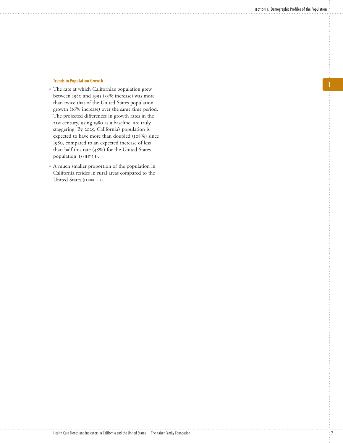. . . . . . . . . . . . . . . . . . . . . . . . . . . . . . . . . . . . . . . . . . . . . . . . . . . . . . . . . . . . . . . . . . . . . . . . . . . . . . . . . . . . . . . . . . . . . . . . . . . . . . . . . . . . . . . . . . . . . . . . . . . . . . . . . . . . . . . . . . . . . . . . . . . . . . . . . . . . . . . . . . . . . . . . . . . . . . . . . . . . . . . . . . . . . . . . . . . . . . . . . . . . . . . . . . . . . . . . . . . . . . . . . . . . . . . . . . . . . . . . . . . . . . . . . . . . . . . . . . . . . . . . . . . .

1

#### **Trends in Population Growth**

.

. .

- The rate at which California's population grew between  $1980$  and  $1995$   $(33\%$  increase) was more than twice that of the United States population growth (16% increase) over the same time period. The projected differences in growth rates in the 21st century, using 1980 as a baseline, are truly staggering. By 2025, California's population is expected to have more than doubled (108%) since 1980, compared to an expected increase of less than half this rate  $(48%)$  for the United States population (EXHIBIT 1.8).
- A much smaller proportion of the population in California resides in rural areas compared to the United States (EXHIBIT 1.9).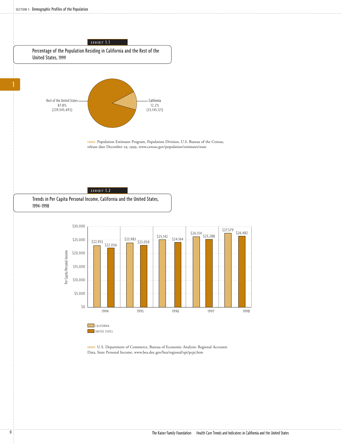. . . . . . . . . . . . . . . . . . . . . . . . . . . .<br>, . . . . . . . . . . . . . . . . . . . . . . . . . . . . . . . . . . . . . . . . . . . . . . . . . . . . . . . . . . . . . . . . . . . . . . . . . . . . . . . . . . . . . . . . . . . . . . . . . . . . . . . . . . . . . . . . . . . . . . . . . . . . . . . . . . . . . . . . . . . . . . . . . . . . . . . . . . . . . . . . . . . . . . . . . . . . . . . . . . . . . . . . . . . . . . . . . . . . . . . . . . . . . . . . . . . . . . . . . . . . . . . . . . . . .

1

# EXHIBIT 1.1





SOURCE: Population Estimates Program, Population Division, U.S. Bureau of the Census, release date December 29, 1999, www.census.gov/population/estimates/state

# EXHIBIT 1.2

Trends in Per Capita Personal Income, California and the United States, 1994–1998



SOURCE: U.S. Department of Commerce, Bureau of Economic Analysis: Regional Accounts Data, State Personal Income, www.bea.doc.gov/bea/regional/spi/pcpi.htm

.

.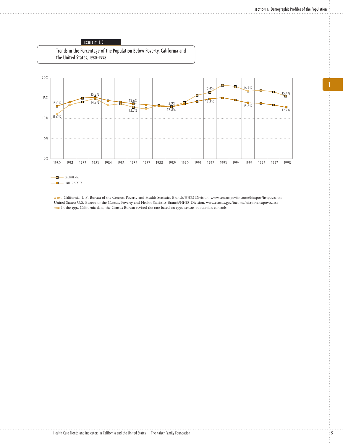. . . . . . . . . . . . . . . . . . . . . . . . . . . . . . . . . . . . . . . . . . . . . . . . . . . . . . . . . . . . . . . . . . . . . . . . . . . . . . . . . . . . . . . . . . . . . . . . . . . . . . . . . . . . . . . . . . . . . . . . . . . . . . . . . . . . . . . . . . . . . . . . . . . . . . . . . . . . . . . . . . . . . . . . . . . . . . . . . . . . . . . . . . . . . . . . . . . . . . . . . . . . . . . . . . . . . . . . . . . . . . . . . . . . . . . . . . . . . . . . . . . . . . . . . . . . . . . . . .

1



.

. .

source: California: U.S. Bureau of the Census, Poverty and Health Statistics Branch/HHES Division, www.census.gov/income/histpov/hstpov21.txt United States: U.S. Bureau of the Census, Poverty and Health Statistics Branch/HHES Division, www.census.gov/income/histpov/hstpovo2.txt NOTE: In the 1992 California data, the Census Bureau revised the rate based on 1990 census population controls.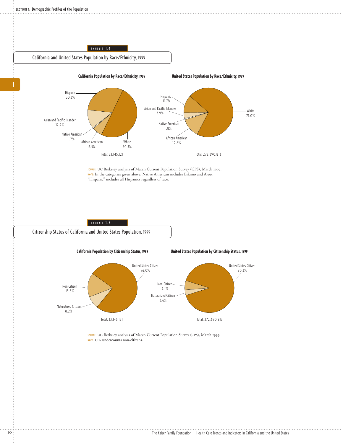. . . . . . . . . . . . . . . . . . . . . . . . . . . . . . . . . . . . . . . . . . . . . . . . . . . . . . . . . . . . . . . . . . . . . . . . . . . . . . . . . . . . . . . . . . . . . . . . . . . . . . . . . . . . . . . . . . . . . . . . . . . . . . . . . . . . . . . . . . . . . . . . . . . . . . . . . . . . . . . . . . . . . . . . . . . . . . . . . . . . . . . . . . . . . . . . . . . . . . . . . . . . . . . . . . . . . . . . . . . . . . . . . . . . . . . . . . . . . . . . . . . . . . . . . . . . . . . . .

1





SOURCE: UC Berkeley analysis of March Current Population Survey (CPS), March 1999. NOTE: CPS undercounts non-citizens.

The Kaiser Family Foundation Health Care Trends and Indicators in California and the United States ...............................................................................................................................................................................................................

.

.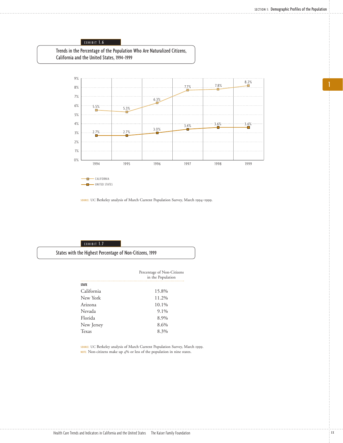. . . . . . . . . . . . . . . . . . . . . . . . . . . . . . . . . . . . . . . . . . . . . . . . . . . . . . . . . . . . . . . . . . . . . . . . . . . . . . . . . . . . . . . . . . . . . . . . . . . . . . . . . . . . . . . . . . . . . . . . . . . . . . . . . . . . . . . . . . . . . . . . . . . . . . . . . . . . . . . . . . . . . . . . . . . . . . . . . . . . . . . . . . . . . . . . . . . . . . . . . . . . . . . . . . . . . . . . . . . . . . . . . . . . . . . . . . . . . . . . . . . . . . . . . . . . . . . . .

1

# EXHIBIT 1.6

.

. . Trends in the Percentage of the Population Who Are Naturalized Citizens, California and the United States, 1994–1999



UNITED STATES

SOURCE: UC Berkeley analysis of March Current Population Survey, March 1994-1999.

#### EXHIBIT 1.7

States with the Highest Percentage of Non-Citizens, 1999

|              | Percentage of Non-Citizens<br>in the Population |  |  |
|--------------|-------------------------------------------------|--|--|
| <b>STATE</b> |                                                 |  |  |
| California   | 15.8%                                           |  |  |
| New York     | 11.2%                                           |  |  |
| Arizona      | 10.1%                                           |  |  |
| Nevada       | 9.1%                                            |  |  |
| Florida      | 8.9%                                            |  |  |
| New Jersey   | 8.6%                                            |  |  |
| Tevas        | 8.3%                                            |  |  |

SOURCE: UC Berkeley analysis of March Current Population Survey, March 1999.  $NOTE: Non-citizers make up 4% or less of the population in nine states.$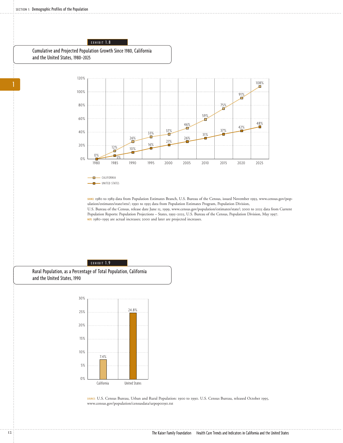# EXHIBIT 1.8

Cumulative and Projected Population Growth Since 1980, California and the United States, 1980–2025



**UNITED STATES** 

source: 1980 to 1989 data from Population Estimates Branch, U.S. Bureau of the Census, issued November 1993, www.census.gov/population/estimates/state/stts/; 1990 to 1995 data from Population Estimates Program, Population Division, U.S. Bureau of the Census, release date June 15, 1999, www.census.gov/population/estimates/state/; 2000 to 2025 data from Current Population Reports: Population Projections - States, 1995-2025, U.S. Bureau of the Census, Population Division, May 1997. NOTE: 1980-1995 are actual increases; 2000 and later are projected increases.

.

.

#### EXHIBIT 1.9

Rural Population, as a Percentage of Total Population, California and the United States, 1990



source: U.S. Census Bureau, Urban and Rural Population: 1900 to 1990. U.S. Census Bureau, released October 1995, www.census.gov/population/censusdata/urpopoo90.txt

. . . . . . . . . . . . . . . . . . . . . . . . . . . . . . . . . . . . . . . . . . . . . . . . . . . . . . . . . . . . . . . . . . . . . . . . . . . . . . . . . . . . . . . . . . . . . . . . . . . . . . . . . . . . . . . . . . . . . . . . . . . . . . . . . . . . . . . . . . . . . . . . . . . . . . . . . . . . . . . . . . . . . . . . . . . . . . . . . . . . . . . . . . . . . . . . . . . . . . .

. . . . . . . . . . . . . . . . . . . . . . . . . . . .<br>, . . . . . . . . . . . . . . . .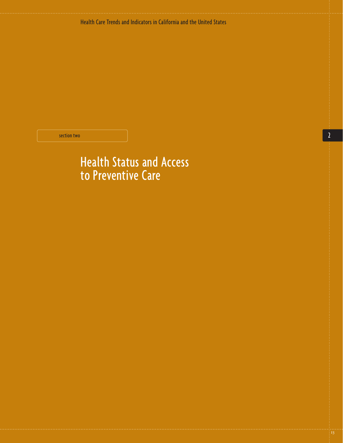Health Care Trends and Indicators in California and the United States

section two

**Health Status and Access** to Preventive Care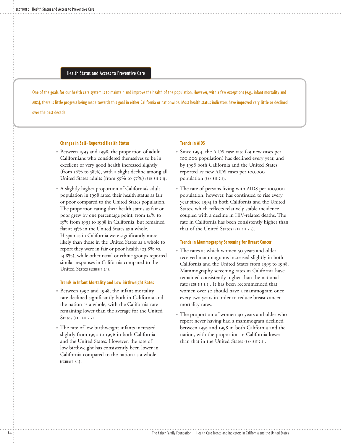. . . . . . . . . . . . . . . . . . . . . . . . . . . . . . . . . . . . . . . . . . . . . . . . . .

. . . . . . . . . . . . . . . . . . . . . . . . . . . . . . . . . . . . . . . . . . . . . . . . . . . . . . . . . . . . . . . . . . . . . . . . . . . . . . . . . . . . . . . . . . . . . . . . . . . . . . . . . . . . . . . . . . . . . . . . . . . . . . . . . . . . . . . . . . . . . . . . . . . . . . . . . . . . . . . . . . . . . . . . . . . . . . . . . . . . . . .

#### Health Status and Access to Preventive Care

One of the goals for our health care system is to maintain and improve the health of the population. However, with a few exceptions (e.g., infant mortality and AIDS), there is little progress being made towards this goal in either California or nationwide. Most health status indicators have improved very little or declined over the past decade.

#### **Changes in Self–Reported Health Status**

- Between 1995 and 1998, the proportion of adult Californians who considered themselves to be in excellent or very good health increased slightly (from  $56\%$  to  $58\%$ ), with a slight decline among all United States adults (from  $59\%$  to  $57\%$ ) (EXHIBIT 2.1).
- A slightly higher proportion of California's adult population in 1998 rated their health status as fair or poor compared to the United States population. The proportion rating their health status as fair or poor grew by one percentage point, from 14% to 15% from 1995 to 1998 in California, but remained flat at 13% in the United States as a whole. Hispanics in California were significantly more likely than those in the United States as a whole to report they were in fair or poor health  $(23.8\%$  vs. 14.8%), while other racial or ethnic groups reported similar responses in California compared to the United States (EXHIBIT 2.1).

#### **Trends in Infant Mortality and Low Birthweight Rates**

- Between 1990 and 1998, the infant mortality rate declined significantly both in California and the nation as a whole, with the California rate remaining lower than the average for the United States (EXHIBIT 2.2).
- The rate of low birthweight infants increased slightly from 1990 to 1996 in both California and the United States. However, the rate of low birthweight has consistently been lower in California compared to the nation as a whole ( EXHIBIT 2.3 ).

#### **Trends in AIDS**

• Since 1994, the AIDS case rate (39 new cases per , population) has declined every year, and by 1998 both California and the United States reported 17 new AIDS cases per 100,000 population (EXHIBIT 2.4).

.

.

• The rate of persons living with AIDS per 100,000 population, however, has continued to rise every year since 1994 in both California and the United States, which reflects relatively stable incidence coupled with a decline in HIV-related deaths. The rate in California has been consistently higher than that of the United States (EXHIBIT 2.5).

#### **Trends in Mammography Screening for Breast Cancer**

- The rates at which women 50 years and older received mammograms increased slightly in both California and the United States from 1995 to 1998. Mammography screening rates in California have remained consistently higher than the national rate ( EXHIBIT 2.6). It has been recommended that women over 50 should have a mammogram once every two years in order to reduce breast cancer mortality rates.
- The proportion of women 40 years and older who report never having had a mammogram declined between 1995 and 1998 in both California and the nation, with the proportion in California lower than that in the United States (EXHIBIT 2.7).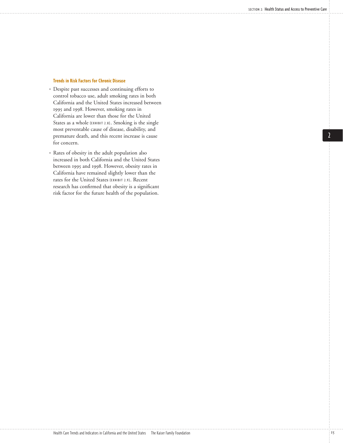. . . . . . . . . . . . . . . . . . . . . . . . . . . . . . . . . . . . . . . . . . . . . . . . . . . . . . . . . . . . . . . . . . . . . . . . . . . . . . . . . . . . . . . . . . . . . . . . . . . . . . . . . . . . . . . . . . . . . . . . . . . . . . . . . . . . . . . . . . . . . . . . . . . . . . . . . . . . . . . . . . . . . . . . . . . . . . . . . . . . . . . . . . . . . . . . . . . . . . . . . . . . . . . . . . . . . . . . . . . . . . . . . . . . . . . . . . . . . . . . . . . . . . . . . . . . . . . . .

2

#### **Trends in Risk Factors for Chronic Disease**

.

. .

- Despite past successes and continuing efforts to control tobacco use, adult smoking rates in both California and the United States increased between 1995 and 1998. However, smoking rates in California are lower than those for the United States as a whole (EXHIBIT 2.8). Smoking is the single most preventable cause of disease, disability, and premature death, and this recent increase is cause for concern.
- Rates of obesity in the adult population also increased in both California and the United States between 1995 and 1998. However, obesity rates in California have remained slightly lower than the rates for the United States (EXHIBIT 2.9). Recent research has confirmed that obesity is a significant risk factor for the future health of the population.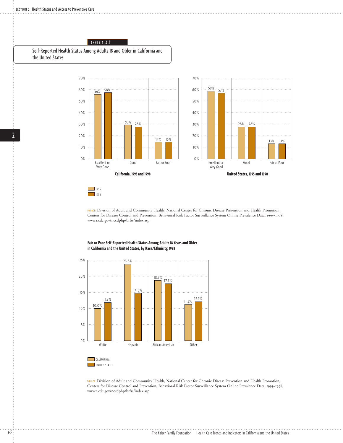#### EXHIBIT 2.1

Self-Reported Health Status Among Adults 18 and Older in California and the United States



.

.

1998

SOURCE: Division of Adult and Community Health, National Center for Chronic Disease Prevention and Health Promotion, Centers for Disease Control and Prevention, Behavioral Risk Factor Surveillance System Online Prevalence Data, 1995-1998, www.cdc.gov/nccdphp/brfss/index.asp



#### **Fair or Poor Self-Reported Health Status Among Adults 18 Years and Older in California and the United States, by Race/Ethnicity, 1998**

UNITED STATES

SOURCE: Division of Adult and Community Health, National Center for Chronic Disease Prevention and Health Promotion, Centers for Disease Control and Prevention, Behavioral Risk Factor Surveillance System Online Prevalence Data, 1995-1998, www.cdc.gov/nccdphp/brfss/index.asp

. . . . . . . . . . . . . . . . . . . . . . . . . . . . . . . . . . . . . . . . . . . . . . . . . . . . . . . . . . . . . . . . . . . . . . . . . . . . . . . . . . . . . . . . . . . . . . . . . . . . . . . . . . . . . . . . . . . . . . . . . . . . . . . . . . . . . . . . . . . . . . . . . . . . . . . . . . . . . . . . . . . . . .

. . . . . . . . . . . . . . . . . . . . . . . . . . . .<br>, . . . . . . . . . . . . . . . . . . . . . . . . . . . . . . . . . . . . . . . . . . . . . . . . . .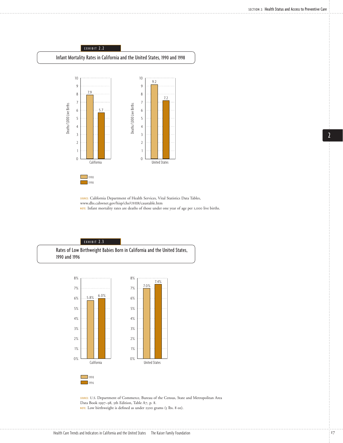. . . . . . . . . . . . . . . . . . . . . . . . . . . . . . . . . . . . . . . . . . . . . . . . . . . . . . . . . . . . . . . . . . . . . . . . . . . . . . . . . . . . . . . . . . . . . . . . . . . . . . . . . . . . . . . . . . . . . . . . . . . . . . . . . . . . . . . . . . . . . . . . . . . . . . . . . . . . . . . . . . . . . . . . . . . . . . . . . . . . . . . . . . . . . . . . . . . . . . . . . . . . . . . . . . . . . . . . . . . . . . . . . . . . . . . . . . . . . . . . . . . . . . . . . . . . . . . . .

2



.

. . SOURCE: California Department of Health Services, Vital Statistics Data Tables, www.dhs.cahwnet.gov/hisp/chs/OHIR/caustable.htm NOTE: Infant mortality rates are deaths of those under one year of age per 1,000 live births.

# EXHIBIT 2.3

Rates of Low Birthweight Babies Born in California and the United States, 1990 and 1996



SOURCE: U.S. Department of Commerce, Bureau of the Census, State and Metropolitan Area Data Book 1997-98, 5th Edition, Table A7, p. 8. NOTE: Low birthweight is defined as under 2500 grams (5 lbs. 8 oz).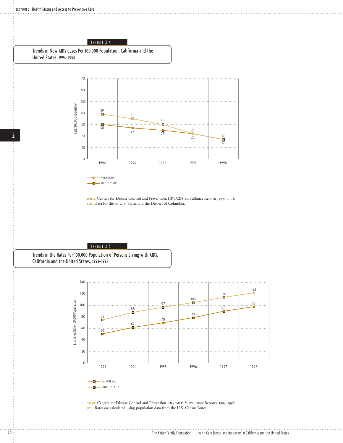

Trends in New AIDS Cases Per 100,000 Population, California and the United States, 1994–1998



SOURCE: Centers for Disease Control and Prevention. HIV/AIDS Surveillance Reports, 1995-1998. NOTE: Data for the 50 U.S. States and the District of Columbia.

# EXHIBIT 2.5

Trends in the Rates Per 100,000 Population of Persons Living with AIDS, California and the United States, 1993–1998



SOURCE: Centers for Disease Control and Prevention. HIV/AIDS Surveillance Reports, 1993-1998. NOTE: Rates are calculated using population data from the U.S. Census Bureau.

. . . . . . . . . . . . . . . . . . . . . . . . . . . . . . . . . . . . . . . . . . . . . . . . . . .<br>, . . . . . . . . . . . . . . . . . . . . . . . . . . . . . . . . . . . . . . . . . . . . . . . . . . . . . . . . . . . . . . . . . . . . . . . . . . . . . . . . . . . . . . . . . . . . . . . . . . . . . . . .

. . . . . . . . . . . . . . . . . . . . . . . . . . . .<br>, . . . . . . . . . . . . . . . . . . . . . . . . . . . . . . . . . . . . . . . . . . . . . . . . . . . . . . . . . 2 . . .

.

.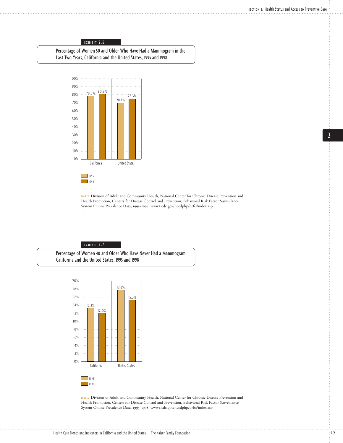. . . . . . . . . . . . . . . . . . . . . . . . . . . . . . . . . . . . . . . . . . . . . . . . . . . . . . . . . . . . . . . . . . . . . . . . . . . . . . . . . . . . . . . . . . . . . . . . . . . . . . . . . . . . . . . . . . . . . . . . . . . . . . . . . . . . . . . . . . . . . . . . . . . . . . . . . . . . . . . . . . . . . . . . . . . . . . . . . . . . . . . . . . . . . . . . . . . . . . . . . . . . . . . . . . . . . . . . . . . . . . . . . . . . . . . . . . . . . . . . . . . . . . . . . . . . . . . . .

2

# EXHIBIT 2.6

.

. . Percentage of Women 50 and Older Who Have Had a Mammogram in the Last Two Years, California and the United States, 1995 and 1998



SOURCE: Division of Adult and Community Health, National Center for Chronic Disease Prevention and Health Promotion, Centers for Disease Control and Prevention, Behavioral Risk Factor Surveillance System Online Prevalence Data, 1995-1998, www2.cdc.gov/nccdphp/brfss/index.asp

# EXHIBIT 2.7

Percentage of Women 40 and Older Who Have Never Had a Mammogram, California and the United States, 1995 and 1998



SOURCE: Division of Adult and Community Health, National Center for Chronic Disease Prevention and Health Promotion, Centers for Disease Control and Prevention, Behavioral Risk Factor Surveillance System Online Prevalence Data, 1995-1998, www2.cdc.gov/nccdphp/brfss/index.asp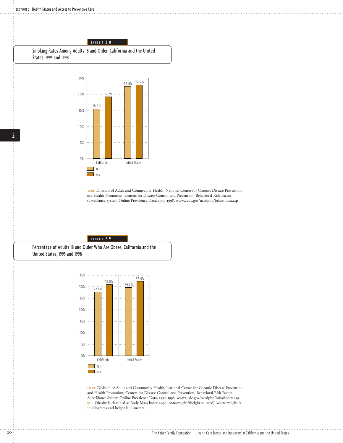# EXHIBIT 2.8

Smoking Rates Among Adults 18 and Older, California and the United States, 1995 and 1998



SOURCE: Division of Adult and Community Health, National Center for Chronic Disease Prevention and Health Promotion, Centers for Disease Control and Prevention, Behavioral Risk Factor Surveillance System Online Prevalence Data, 1995-1998, www2.cdc.gov/nccdphp/brfss/index.asp

# EXHIBIT 2.9

Percentage of Adults 18 and Older Who Are Obese, California and the United States, 1995 and 1998



SOURCE: Division of Adult and Community Health, National Center for Chronic Disease Prevention and Health Promotion, Centers for Disease Control and Prevention, Behavioral Risk Factor Surveillance System Online Prevalence Data, 1995-1998, www2.cdc.gov/nccdphp/brfss/index.asp NOTE: Obesity is classified as Body Mass Index >=30. BMI=weight/(height squared), where weight is in kilograms and height is in meters.

. . . . . . . . . . . . . . . . . . . . . . . . . . . . . . . . . . . . . . . . . . . . . . . . . . . . . . . . . . . . . . . . . . . . . . . . . . . . . . . . . . . . . . . . . . . . . . . . . . . . . . . . . . . . . . . . . . . . . . . . . . . . . . . . . . . . . . . . . . . . . . . . . . . . . . . . . . . . . . . . . . . . . . .

. . . . . . . . . . . . . . . . . . . . . . . . . . . .<br>, . . . . . . . . . . . . . . . . . . . . . . . . . . . . . . . . . . . . . . . . . . . . . . . . . .

.

.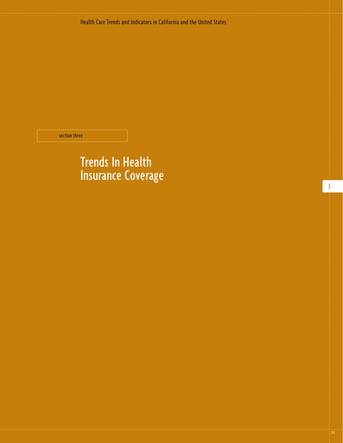Health Care Trends and Indicators in California and the United States

section three

**Trends In Health Insurance Coverage** 

 $\overline{3}$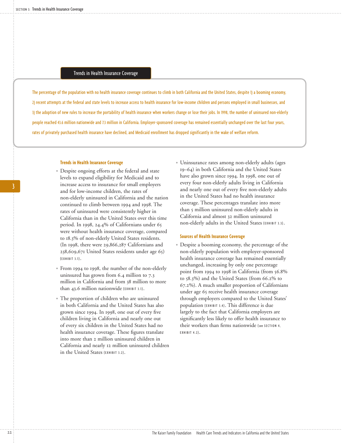. . . . . . . . . . . . . . . . . . . . . . . . . . . . . . . . . . . . . . . . . . . . . . . . . .

#### Trends in Health Insurance Coverage

The percentage of the population with no health insurance coverage continues to climb in both California and the United States, despite 1) a booming economy, 2) recent attempts at the federal and state levels to increase access to health insurance for low-income children and persons employed in small businesses, and 3) the adoption of new rules to increase the portability of health insurance when workers change or lose their jobs. In 1998, the number of uninsured non-elderly people reached 43.6 million nationwide and 7.3 million in California. Employer-sponsored coverage has remained essentially unchanged over the last four years, rates of privately purchased health insurance have declined, and Medicaid enrollment has dropped significantly in the wake of welfare reform.

#### **Trends in Health Insurance Coverage**

- Despite ongoing efforts at the federal and state levels to expand eligibility for Medicaid and to increase access to insurance for small employers and for low-income children, the rates of non-elderly uninsured in California and the nation continued to climb between 1994 and 1998. The rates of uninsured were consistently higher in California than in the United States over this time period. In 1998, 24.4% of Californians under 65 were without health insurance coverage, compared to 18.3% of non-elderly United States residents. (In 1998, there were 29,866,287 Californians and 238,609,671 United States residents under age 65) ( EXHIBIT 3.1 ).
- From 1994 to 1998, the number of the non-elderly uninsured has grown from  $6.4$  million to  $7.3$ million in California and from 38 million to more than  $43.6$  million nationwide (EXHIBIT 3.1).
- The proportion of children who are uninsured in both California and the United States has also grown since 1994. In 1998, one out of every five children living in California and nearly one out of every six children in the United States had no health insurance coverage. These figures translate into more than 2 million uninsured children in California and nearly 12 million uninsured children in the United States (EXHIBIT 3.2).

• Uninsurance rates among non-elderly adults (ages 19–64) in both California and the United States have also grown since 1994. In 1998, one out of every four non-elderly adults living in California and nearly one out of every five non-elderly adults in the United States had no health insurance coverage. These percentages translate into more than 5 million uninsured non-elderly adults in California and almost 32 million uninsured non-elderly adults in the United States (EXHIBIT 3.3).

.

.

#### **Sources of Health Insurance Coverage**

• Despite a booming economy, the percentage of the non-elderly population with employer-sponsored health insurance coverage has remained essentially unchanged, increasing by only one percentage point from 1994 to 1998 in California (from 56.8% to  $58.3\%$ ) and the United States (from  $66.2\%$  to .%). A much smaller proportion of Californians under age 65 receive health insurance coverage through employers compared to the United States' population ( EXHIBIT 3.4). This difference is due largely to the fact that California employers are significantly less likely to offer health insurance to their workers than firms nationwide (see SECTION 4, EXHIBIT 4.2 ).

...............................................................................................................................................................................................................

. . . . . . . . . . . . . . . . . . . . . . . . . . . . . . . . . . . . . . . . . . . . . . . . . . . . . . . . . . . . . . . . . . . . . . . . . . . . . . . . . . . . . . . . . . . . . . . . . . . . . . . . . . . . . . . . . . . . . . . . . . . . . . . . . . . . . . . . . . . . . . . . . . . . . .

 $22$ 

. . . . . . . . . . . . . . . . . .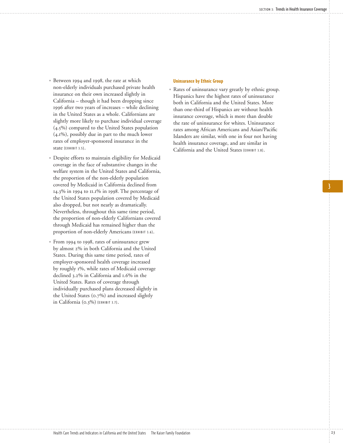. . . . . . . . . . . . . . . . . . . . . . . . . . . . . . . . . . . . . . . . . . . . . . . . . . . . . . . . . . . . . . . . . . . . . . . . . . . . . . . . . . . . . . . . . . . . . . . . . . . . . . . . . . . . . . . .

• Between 1994 and 1998, the rate at which non-elderly individuals purchased private health insurance on their own increased slightly in California – though it had been dropping since 1996 after two years of increases – while declining in the United States as a whole. Californians are slightly more likely to purchase individual coverage  $(4.5\%)$  compared to the United States population  $(4.1\%)$ , possibly due in part to the much lower rates of employer-sponsored insurance in the state (EXHIBIT 3.5).

.

. .

- Despite efforts to maintain eligibility for Medicaid coverage in the face of substantive changes in the welfare system in the United States and California, the proportion of the non-elderly population covered by Medicaid in California declined from  $14.3\%$  in 1994 to  $11.1\%$  in 1998. The percentage of the United States population covered by Medicaid also dropped, but not nearly as dramatically. Nevertheless, throughout this same time period, the proportion of non-elderly Californians covered through Medicaid has remained higher than the proportion of non-elderly Americans (EXHIBIT 3.6).
- From 1994 to 1998, rates of uninsurance grew by almost 2% in both California and the United States. During this same time period, rates of employer-sponsored health coverage increased by roughly 1%, while rates of Medicaid coverage declined 3.2% in California and 1.6% in the United States. Rates of coverage through individually purchased plans decreased slightly in the United States ( $o.7\%$ ) and increased slightly in California (0.3%) (EXHIBIT 3.7).

#### **Uninsurance by Ethnic Group**

Rates of uninsurance vary greatly by ethnic group. Hispanics have the highest rates of uninsurance both in California and the United States. More than one-third of Hispanics are without health insurance coverage, which is more than double the rate of uninsurance for whites. Uninsurance rates among African Americans and Asian/Pacific Islanders are similar, with one in four not having health insurance coverage, and are similar in California and the United States (EXHIBIT 3.8).

. . . . . . . . . . . . . . . . . . . . . . . . . . . . . . . . . . . . . . . . . . . . . . . . . . . . . . . . . . . . . . . . . . . . . . . . . . . . . . . . . . . . . . . . . . . . . . . . . . . . . . . . . . . . . . . . . . . . . . . . . . . . . . . . . . .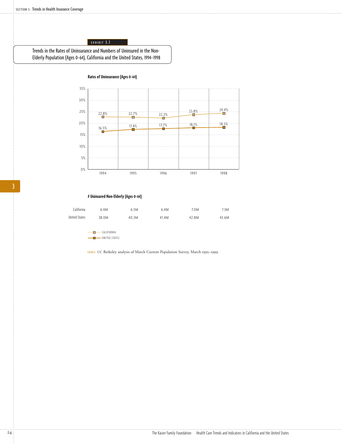. . . . . . . . . . . . . . . . . . . . . . . . . . . .<br>, . . . . . . . . . . . . . . . . . . . . . . . . . . . . . . . . . . . . . . . . . . . . . . . . . . . . . . . . . . . . . . . . . . . . . . . . . . . . . . . . . . . . . . . . 3 . . . . . . . . . . . . . . . . . . . . . . . . . . . . . . . . . . . . . . . . . . . . . . . . . . . . . . . . . . . . . . . . . . . . . . . . . . . . . . . . . . . . . . . . . . . . . . . . . . . . . . . . . . . . . . . . . . . . . . . . . . . . . . . . . . . . . . . . . . . . .

# EXHIBIT 3.1

Trends in the Rates of Uninsurance and Numbers of Uninsured in the Non-Elderly Population (Ages 0–64), California and the United States, 1994–1998



# **Rates of Uninsurance (Ages 0–64)**

# **# Uninsured Non-Elderly (Ages 0–64)**

| California           | 6.4M  | 6.5M  | 6.4M  | 7.0M  | 7.3M  |
|----------------------|-------|-------|-------|-------|-------|
| <b>United States</b> | 38.0M | 40.3M | 41.4M | 42.8M | 43.6M |
|                      |       |       |       |       |       |



SOURCE: UC Berkeley analysis of March Current Population Survey, March 1995-1999.

.

.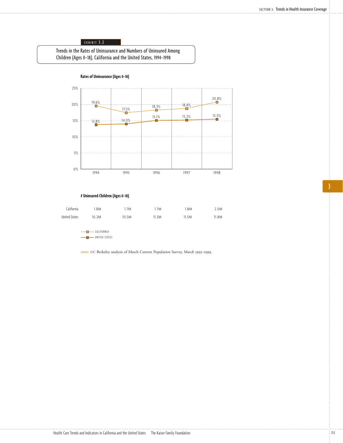. . . . . . . . . . . . . . . . . . . . . . . . . . . . . . . . . . . . . . . . . . . . . . . . . . . . . . . . . . . . . . . . . . . . . . . . . . . . . . . . . . . . . . . . . . . . . . . . . . . . . . . . . . . . . . . . . . . 3 . . . . . . . . . . . . . . . . . . . . . . . . . . . . . . . . . . . . . . . . . . . . . . . . . . . . . . . . . . . . . . . . . . . . . . . . . . . . . . . . . . . . . . . . . . . . . . . . . . . . . . . . . . . . . . . . . . . . . . . . . . . . . . . . . . . . . . . . . . . . . .

# EXHIBIT 3.2

.

. . Trends in the Rates of Uninsurance and Numbers of Uninsured Among Children (Ages 0–18), California and the United States, 1994–1998

#### **Rates of Uninsurance (Ages 0–18)**



#### **# Uninsured Children (Ages 0–18)**

| California           | 1.8M                                | 1.7M  | 1.7M  | 1.8M  | 2.0M  |
|----------------------|-------------------------------------|-------|-------|-------|-------|
| <b>United States</b> | 10.2M                               | 10.5M | 11.3M | 11.5M | 11.8M |
|                      |                                     |       |       |       |       |
|                      | $\overline{\phantom{a}}$ CALIFORNIA |       |       |       |       |
|                      | - UNITED STATES                     |       |       |       |       |

SOURCE: UC Berkeley analysis of March Current Population Survey, March 1995-1999.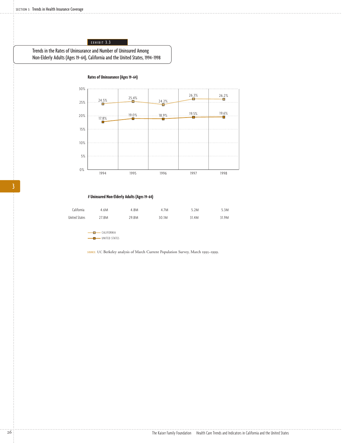. . . . . . . . . . . . . . . . . . . . . . . . . . . .<br>, . . . . . . . . . . . . . . . . . . . . . . . . . . . . . . . . . . . . . . . . . . . . . . . . . . . . . . . . . . . . . . . . . . . . . . . . . . . . . . . . . . . . . . . . 3 . . . . . . . . . . . . . . . . . . . . . . . . . . . . . . . . . . . . . . . . . . . . . . . . . . . . . . . . . . . . . . . . . . . . . . . . . . . . . . . . . . . . . . . . . . . . . . . . . . . . . . . . . . . . . . . . . . . . . . . . . . . . . . . . . . . . . . . . . . . .

# EXHIBIT 3.3

Trends in the Rates of Uninsurance and Number of Uninsured Among Non-Elderly Adults (Ages 19–64), California and the United States, 1994–1998



# **Rates of Uninsurance (Ages 19–64)**

# **# Uninsured Non-Elderly Adults (Ages 19–64)**

| California           | 4.6M  | 4.8M  | 4.7M  | 5.2M  | 5.3M  |
|----------------------|-------|-------|-------|-------|-------|
| <b>United States</b> | 27.8M | 29.8M | 30.1M | 31.4M | 31.9M |



SOURCE: UC Berkeley analysis of March Current Population Survey, March 1995-1999.

.

.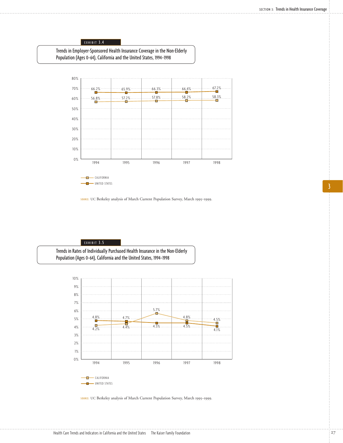. . . . . . . . . . . . . . . . . . . . . . . . . . . . . . . . . . . . . . . . . . . . . . . . . . . . . . . . . . . . . . . . . . . . . . . . . . . . . . . . . . . . . . . . . . . . . . . . . . . . . . . . . . . . . . . . . . . 3 . . . . . . . . . . . . . . . . . . . . . . . . . . . . . . . . . . . . . . . . . . . . . . . . . . . . . . . . . . . . . . . . . . . . . . . . . . . . . . . . . . . . . . . . . . . . . . . . . . . . . . . . . . . . . . . . . . . . . . . . . . . . . . . . . . . . . . . . . . . . . . .

# EXHIBIT 3.4

.

. . Trends in Employer-Sponsored Health Insurance Coverage in the Non-Elderly Population (Ages 0–64), California and the United States, 1994–1998



source: UC Berkeley analysis of March Current Population Survey, March 1995-1999.

# EXHIBIT 3.5

Trends in Rates of Individually Purchased Health Insurance in the Non-Elderly Population (Ages 0–64), California and the United States, 1994–1998



source: UC Berkeley analysis of March Current Population Survey, March 1995-1999.

................................................................................................................................................................................................................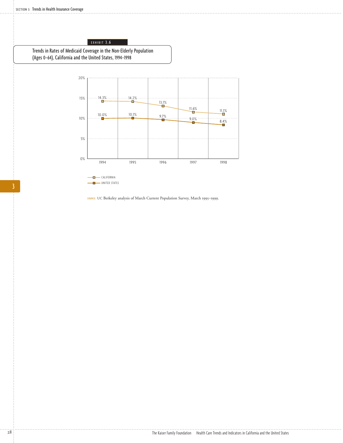# EXHIBIT 3.6

Trends in Rates of Medicaid Coverage in the Non-Elderly Population (Ages 0-64), California and the United States, 1994-1998



SOURCE: UC Berkeley analysis of March Current Population Survey, March 1995-1999.

 $\overline{3}$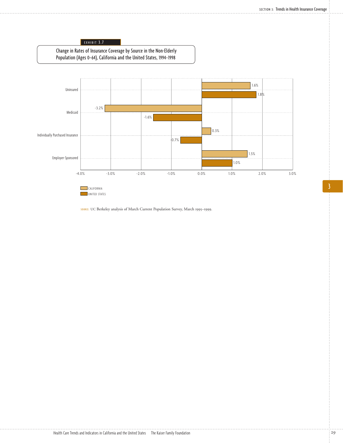

SOURCE: UC Berkeley analysis of March Current Population Survey, March 1995-1999.

 $\overline{3}$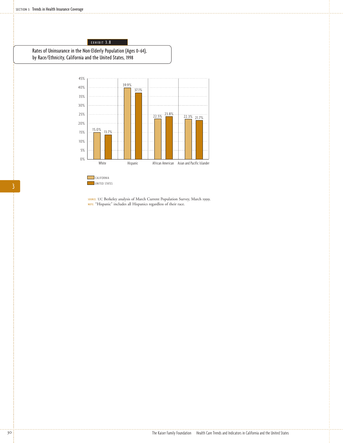# **EXHIBIT 3.8**

Rates of Uninsurance in the Non-Elderly Population (Ages 0-64), by Race/Ethnicity, California and the United States, 1998



SOURCE: UC Berkeley analysis of March Current Population Survey, March 1999. NOTE: "Hispanic" includes all Hispanics regardless of their race.

 $\overline{3}$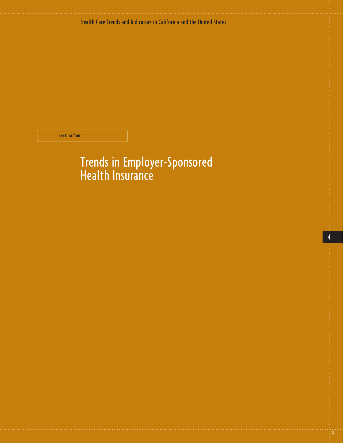Health Care Trends and Indicators in California and the United States

section four

Trends in Employer-Sponsored<br>Health Insurance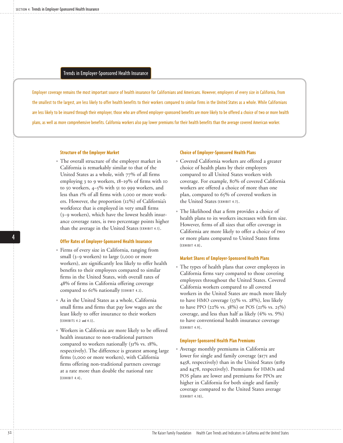. . . . . . . . . . . . . . . . . . . . . . . . . . . . . . . . . . . . . . . . . . . . . . . . . .

#### Trends in Employer-Sponsored Health Insurance

Employer coverage remains the most important source of health insurance for Californians and Americans. However, employers of every size in California, from the smallest to the largest, are less likely to offer health benefits to their workers compared to similar firms in the United States as a whole. While Californians are less likely to be insured through their employer, those who are offered employer-sponsored benefits are more likely to be offered a choice of two or more health plans, as well as more comprehensive benefits. California workers also pay lower premiums for their health benefits than the average covered American worker.

#### **Structure of the Employer Market**

• The overall structure of the employer market in California is remarkably similar to that of the United States as a whole, with  $77%$  of all firms employing  $3$  to  $9$  workers,  $18-19\%$  of firms with 10 to 50 workers,  $4-5\%$  with 51 to 999 workers, and less than 1% of all firms with 1,000 or more workers. However, the proportion (12%) of California's workforce that is employed in very small firms  $(3-9$  workers), which have the lowest health insurance coverage rates, is two percentage points higher than the average in the United States (EXHIBIT 4.1).

#### **Offer Rates of Employer-Sponsored Health Insurance**

- Firms of every size in California, ranging from small  $(3-9$  workers) to large  $(1,000)$  or more workers), are significantly less likely to offer health benefits to their employees compared to similar firms in the United States, with overall rates of % of firms in California offering coverage compared to  $61\%$  nationally (EXHIBIT 4.2).
- As in the United States as a whole, California small firms and firms that pay low wages are the least likely to offer insurance to their workers (EXHIBITS 4.2 and 4.3).
- Workers in California are more likely to be offered health insurance to non-traditional partners compared to workers nationally  $(31\% \text{ vs. } 18\%,$ respectively). The difference is greatest among large firms (1,000 or more workers), with California firms offering non-traditional partners coverage at a rate more than double the national rate ( EXHIBIT 4.4).

#### **Choice of Employer-Sponsored Health Plans**

• Covered California workers are offered a greater choice of health plans by their employers compared to all United States workers with coverage. For example, 80% of covered California workers are offered a choice of more than one plan, compared to 65% of covered workers in the United States (EXHIBIT 4.7).

.

.

• The likelihood that a firm provides a choice of health plans to its workers increases with firm size. However, firms of all sizes that offer coverage in California are more likely to offer a choice of two or more plans compared to United States firms ( EXHIBIT 4.8).

#### **Market Shares of Employer-Sponsored Health Plans**

• The types of health plans that cover employees in California firms vary compared to those covering employees throughout the United States. Covered California workers compared to all covered workers in the United States are much more likely to have HMO coverage  $(53\% \text{ vs. } 28\%)$ , less likely to have PPO (22% vs.  $38\%$ ) or POS (21% vs. 25%) coverage, and less than half as likely (4% vs. 9%) to have conventional health insurance coverage ( EXHIBIT 4.9).

#### **Employer-Sponsored Health Plan Premiums**

• Average monthly premiums in California are lower for single and family coverage (\$171 and \$458, respectively) than in the United States (\$189 and \$478, respectively). Premiums for HMOs and POS plans are lower and premiums for PPOs are higher in California for both single and family coverage compared to the United States average ( EXHIBIT 4.10).

. . . . . . . . . . . . . . . . . . . . . . . . . . . . . . . . . . . . . . . . . . . . . . . . . . . . . . . . . . . . . . . . . . . . . . . . . . . . . . . . . . . . . . . . . . . . . . . . . . . . . . . . . .

. . . . . . . . . . . . . . . . . . . . . . . . . . . . . . . . . . . . . . . . . . . . . . . . . . . . . . . . . .

. . . . . . . . . .  $32$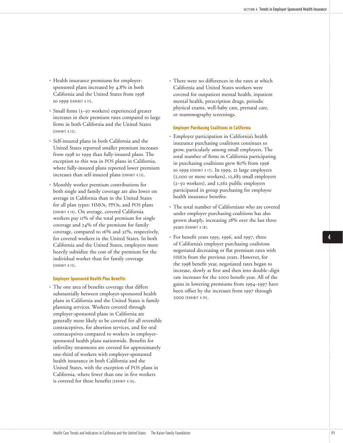. . . . . . . . . . . . . . . . . . . . . . . . . . . . . . . . . . . . . . . . . . . . . . . . . . . . . . . . . . . . . . . . . . . . . . . . . . . . . . . . . . . . . . . . . . . . . . . . . . . . . . . . . . . . . . . . . . . . . . . . . . . . . . . . . . . . . . . . . . . . . . . . . . . . . . . . . . . . . . . . . . . . . . . . . . . . . . . . . . . . . . . . . . . . . . . . . . . . . . . . . . . . . . . . . . . . . . . . . . . . . . . . . . . . . . . . . . . . . . . . . . . . . . . . . . . . . . . . .

• Health insurance premiums for employersponsored plans increased by  $4.8\%$  in both California and the United States from to 1999 (EXHIBIT 4.11).

.

. .

- Small firms ( $3-50$  workers) experienced greater increases in their premium rates compared to large firms in both California and the United States ( EXHIBIT 4.12 ).
- Self-insured plans in both California and the United States reported smaller premium increases from 1998 to 1999 than fully-insured plans. The exception to this was in POS plans in California, where fully-insured plans reported lower premium increases than self-insured plans (EXHIBIT 4.13).
- Monthly worker premium contributions for both single and family coverage are also lower on average in California than in the United States for all plan types: HMOs, PPOs, and POS plans ( EXHIBIT 4.14). On average, covered California workers pay  $11\%$  of the total premium for single coverage and  $24\%$  of the premium for family coverage, compared to  $16\%$  and  $32\%$ , respectively, for covered workers in the United States. In both California and the United States, employers more heavily subsidize the cost of the premium for the individual worker than for family coverage ( EXHIBIT 4.15 ).

#### **Employer-Sponsored Health Plan Benefits**

• The one area of benefits coverage that differs substantially between employer-sponsored health plans in California and the United States is family planning services. Workers covered through employer-sponsored plans in California are generally more likely to be covered for all reversible contraceptives, for abortion services, and for oral contraceptives compared to workers in employersponsored health plans nationwide. Benefits for infertility treatments are covered for approximately one-third of workers with employer-sponsored health insurance in both California and the United States, with the exception of POS plans in California, where fewer than one in five workers is covered for these benefits (EXHIBIT 4.16).

• There were no differences in the rates at which California and United States workers were covered for outpatient mental health, inpatient mental health, prescription drugs, periodic physical exams, well-baby care, prenatal care, or mammography screenings.

#### **Employer Purchasing Coalitions in California**

- Employer participation in California's health insurance purchasing coalitions continues to grow, particularly among small employers. The total number of firms in California participating in purchasing coalitions grew 80% from 1996 to  $1999$  (EXHIBIT 4.17). In  $1999$ , 21 large employers  $(2,000$  or more workers),  $12,683$  small employers  $(2-50$  workers), and  $1,262$  public employers participated in group purchasing for employee health insurance benefits.
- The total number of Californians who are covered under employer purchasing coalitions has also grown sharply, increasing 28% over the last three years (EXHIBIT 4.18).
- For benefit years 1995, 1996, and 1997, three of California's employer purchasing coalitions negotiated decreasing or flat premium rates with HMOs from the previous years. However, for the 1998 benefit year, negotiated rates began to increase, slowly at first and then into double-digit rate increases for the 2000 benefit year. All of the gains in lowering premiums from 1994-1997 have been offset by the increases from 1997 through 2000 (EXHIBIT 4.19).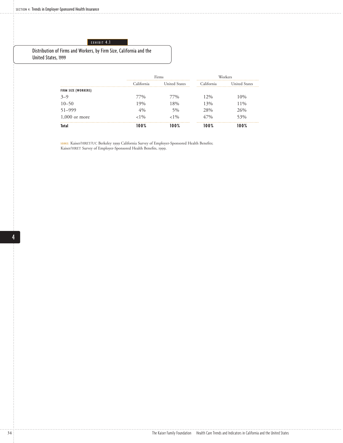. . . . . . . . . . . . . . . . . . . . . . . . . . . .<br>, . . . . . . . . . . . . . . . . . . . . . . . . . . . . . . . . . . . . . . . . . . . . . . . . . . . . . . . . . . . . . . . . . . . . . . . . . . . . . . . . . . . . . . . . . . . . . . . . . . . . . . . . . . . . . . .

# **EXHIBIT 4.1**

Distribution of Firms and Workers, by Firm Size, California and the United States, 1999

|                            |            | Firms           |                  | ://orkers     |
|----------------------------|------------|-----------------|------------------|---------------|
|                            | California | United States   | itornia          | United States |
| <b>FIRM SIZE (WORKERS)</b> |            |                 |                  |               |
|                            | 77%        | 7%              | 120 <sub>0</sub> |               |
| $10 - 50$                  | $19\%$     | 8%              | 13%              | 11%           |
| $51 - 999$                 |            | $5\%$           | 28%              | 60/6          |
| $1,000$ or more            | ${<}1\%$   | 10 <sub>o</sub> |                  | 3%            |
|                            | በበ%        |                 | n%               |               |

.

.

SOURCE: Kaiser/HRET/UC Berkeley 1999 California Survey of Employer-Sponsored Health Benefits; Kaiser/HRET Survey of Employer-Sponsored Health Benefits, 1999.

. . . . . . . . . . . . . . . . . . . . . . . . . . . . . . . . . . . . . . . . . . . . . . . . . . . . . . . . . . . . . . . . . . . . . . . . . . . . . . . . . . . . . . . . . . . . . . . . . . . . . . . . . .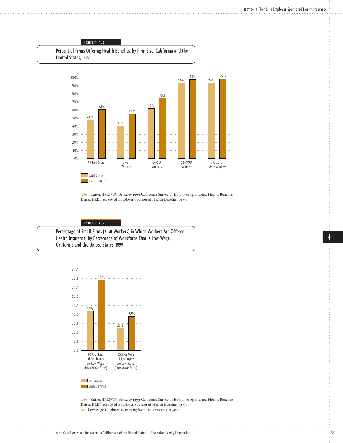. . . . . . . . . . . . . . . . . . . . . . . . . . . . . . . . . . . . . . . . . . . . . . . . . . . . . . . . . . . . . . . . . . . . . . . . . . . . . . . . . . . . . . . . . . . . . . . . . . . . . . . . . . . . . . . . . . . . . . . . . . . . . . . . . . . . . . . . . . . . . . . . . . . . . . . . . . . . . . . . . . . . . . . . . . . . . . . . . . . . . . . . . . . . . . . . . . . . . . . . . . . . . . . . . . . . . . . . . . . . . . . . . . . . . . . . . . . . . . . . . . . . . . . . . . . . . . . . .



SOURCE: Kaiser/HRET/UC Berkeley 1999 California Survey of Employer-Sponsored Health Benefits; Kaiser/HRET Survey of Employer-Sponsored Health Benefits, 1999.

#### EXHIBIT 4.3

.

. .

Percentage of Small Firms (3–50 Workers) in Which Workers Are Offered Health Insurance, by Percentage of Workforce That is Low Wage, California and the United States, 1999



SOURCE: Kaiser/HRET/UC Berkeley 1999 California Survey of Employer-Sponsored Health Benefits; Kaiser/HRET Survey of Employer-Sponsored Health Benefits, 1999. NOTE: Low wage is defined as earning less than \$20,000 per year.

................................................................................................................................................................................................................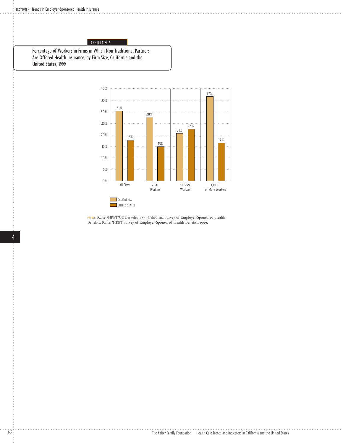. . . . . . . . . . . . . . . . . . . . . . . . . . . .<br>, . . . . . . . . . . . . . . . . . . . . . . . . . . . . . . . . . . . . . . . . . . . . . . . . . . . . . . . . . . . . . . . . . . . . . . . . . . . . . . . . . . . . . . . . . . . . . . . . . . . . . . . . . . . . . . . . .

# EXHIBIT 4.4

Percentage of Workers in Firms in Which Non-Traditional Partners Are Offered Health Insurance, by Firm Size, California and the United States, 1999



.

.

SOURCE: Kaiser/HRET/UC Berkeley 1999 California Survey of Employer-Sponsored Health Benefits; Kaiser/HRET Survey of Employer-Sponsored Health Benefits, 1999.

. . . . . . . . . . . . . . . . . . . . . . . . . . . . . . . . . . . . . . . . . . . . . . . . . . . . . . . . . . . . . . . . . . . . . . . . . . . . . . . . . . . . . . . . . . . . . . . . . . . . . . . .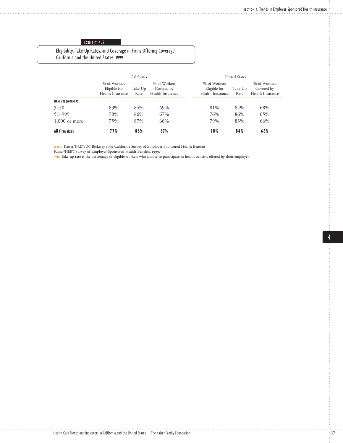. . . . . . . . . . . . . . . . . . . . . . . . . . . . . . . . . . . . . . . . . . . . . . . . . . . . . . . . . . . . . . . . . . . . . . . . . . . . . . . . . . . . . . . . . . . . . . . . . . . . . . . . . . . . . . . . . . . . . . . . . . . . . . . . . . . . . . . . .

# EXHIBIT 4.5

.

. .

# Eligibility, Take-Up Rates, and Coverage in Firms Offering Coverage, California and the United States, 1999

|                |                                                  | California<br>$\label{def:1} \begin{minipage}{0.9\linewidth} \begin{minipage}{0.9\linewidth} \begin{minipage}{0.9\linewidth} \end{minipage} \begin{minipage}{0.9\linewidth} \end{minipage} \begin{minipage}{0.9\linewidth} \end{minipage} \begin{minipage}{0.9\linewidth} \end{minipage} \begin{minipage}{0.9\linewidth} \end{minipage} \begin{minipage}{0.9\linewidth} \end{minipage} \begin{minipage}{0.9\linewidth} \end{minipage} \begin{minipage}{0.9\linewidth} \end{minipage} \begin{minipage}{0.9\linewidth} \end{minipage} \begin{minipage}{$ |                                                |                                                   | <b>United States</b> |                                                   |  |
|----------------|--------------------------------------------------|--------------------------------------------------------------------------------------------------------------------------------------------------------------------------------------------------------------------------------------------------------------------------------------------------------------------------------------------------------------------------------------------------------------------------------------------------------------------------------------------------------------------------------------------------------|------------------------------------------------|---------------------------------------------------|----------------------|---------------------------------------------------|--|
|                | % of Workers<br>Eligible for<br>Health Insurance | Take-Up<br>Rate                                                                                                                                                                                                                                                                                                                                                                                                                                                                                                                                        | % of Workers<br>Covered by<br>Health Insurance | % of Workers<br>Eligible for<br>Health Insurance. | lake-Up<br>Rate      | % of Workers<br>Covered by<br>Health<br>Insurance |  |
| SIZE (WORKERS) |                                                  |                                                                                                                                                                                                                                                                                                                                                                                                                                                                                                                                                        |                                                |                                                   |                      |                                                   |  |
| $3 - 50$       |                                                  |                                                                                                                                                                                                                                                                                                                                                                                                                                                                                                                                                        |                                                | $81\%$                                            |                      |                                                   |  |
| 51-999         | $8\%$                                            |                                                                                                                                                                                                                                                                                                                                                                                                                                                                                                                                                        |                                                | 76%                                               |                      | 0/                                                |  |
| 1,000 or more  |                                                  |                                                                                                                                                                                                                                                                                                                                                                                                                                                                                                                                                        |                                                | 79%                                               |                      |                                                   |  |
|                |                                                  |                                                                                                                                                                                                                                                                                                                                                                                                                                                                                                                                                        |                                                |                                                   |                      |                                                   |  |

SOURCE: Kaiser/HRET/UC Berkeley 1999 California Survey of Employer-Sponsored Health Benefits;

Kaiser/HRET Survey of Employer-Sponsored Health Benefits, 1999.

NOTE: Take-up rate is the percentage of eligible workers who choose to participate in health benefits offered by their employer.

. . . . . . . . . . . . . . . . . . . . . . . . . . . . . . . . . . . . . . . . . . . . . . . . . . . . . . . . . . . . . . . . . . . . . . . . . . . . . . . . . . . . . . . . . . . . . . . . . . . . . . . . . . .

................................................................................................................................................................................................................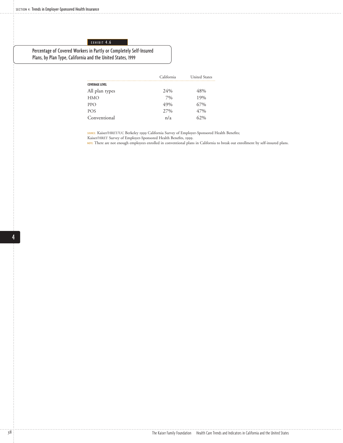. . . . . . . . . . . . . . . . . . . . . . . . . . . .<br>, . . . . . . . . . . . . . . . . . . . . . . . . . . . . . . . . . . . . . . . . . . . . . . . . . . . . . . . . . . . . . . . . . . . . . . . . . . . . . . . . . . . . . . . . . . . . . . . . . . . . . . . . . . . . . .

# EXHIBIT 4.6

Percentage of Covered Workers in Partly or Completely Self-Insured Plans, by Plan Type, California and the United States, 1999

|                       | California | <b>United States</b> |
|-----------------------|------------|----------------------|
| <b>COVERAGE LEVEL</b> |            |                      |
| All plan types        | 24%        | 48%                  |
| <b>HMO</b>            | 7%         | 19%                  |
| PPO.                  | 49%        | 67%                  |
| <b>POS</b>            | 27%        | 7%                   |
| Conventional          | n/a        | 52%                  |

SOURCE: Kaiser/HRET/UC Berkeley 1999 California Survey of Employer-Sponsored Health Benefits;

Kaiser/HRET Survey of Employer-Sponsored Health Benefits, 1999.

NOTE: There are not enough employees enrolled in conventional plans in California to break out enrollment by self-insured plans.

.

.

. . . . . . . . . . . . . . . . . . . . . . . . . . . . . . . . . . . . . . . . . . . . . . . . . . . . . . . . . . . . . . . . . . . . . . . . . . . . . . . . . . . . . . . . . . . . . . . . . . . . . . . . . .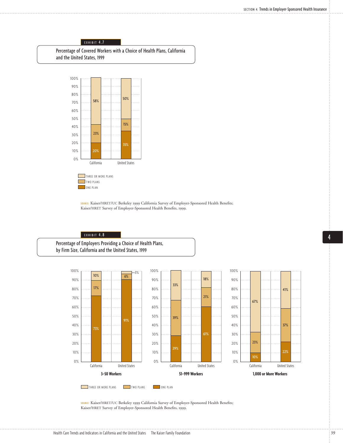. . . . . . . . . . . . . . . . . . . . . . . . . . . . . . . . . . . . . . . . . . . . . . . . . . . . . . . . . . . . . . . . . . . . . . . . . . . . . . . . . . . . . . . . . . . . . . . . . . . . . . . . . . . . . . . . . . . . . . . . . . . . . . . . . . . . . . . . . . . . . . . . . . . . . . . . . . . . . . . . . . . . . . . . . . . . . . . . . . . . . . . . . . . . . . . . . . . . . . . . . . . . . . . . . . . . . . . . . . . . . . . . . . . . . . . . . . . . . . . . . . . . . . . . . . . . . . . . .

# EXHIBIT 4.7

.

. . Percentage of Covered Workers with a Choice of Health Plans, California and the United States, 1999



SOURCE: Kaiser/HRET/UC Berkeley 1999 California Survey of Employer-Sponsored Health Benefits; Kaiser/HRET Survey of Employer-Sponsored Health Benefits, 1999.

#### EXHIBIT 4.8

Percentage of Employers Providing a Choice of Health Plans, by Firm Size, California and the United States, 1999



SOURCE: Kaiser/HRET/UC Berkeley 1999 California Survey of Employer-Sponsored Health Benefits; Kaiser/HRET Survey of Employer-Sponsored Health Benefits, 1999.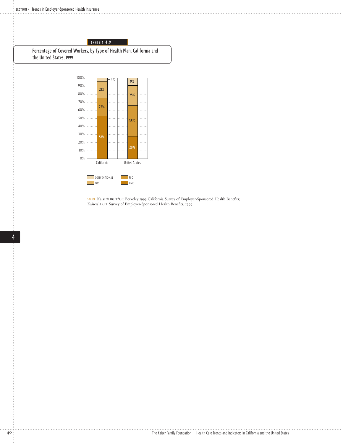# EXHIBIT 4.9

Percentage of Covered Workers, by Type of Health Plan, California and the United States, 1999



SOURCE: Kaiser/HRET/UC Berkeley 1999 California Survey of Employer-Sponsored Health Benefits; Kaiser/HRET Survey of Employer-Sponsored Health Benefits, 1999.

 $40^{\circ}$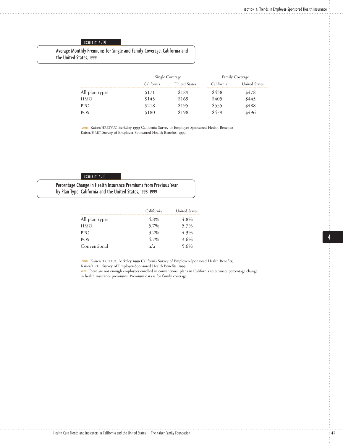. . . . . . . . . . . . . . . . . . . . . . . . . . . . . . . . . . . . . . . . . . . . . . . . . . . . . . . . . . . . . . . . . . . . . . . . . . . . . . . . . . . . . . . . . . . . . . . . . . . . . . . . . . . . . . . . . . . . . . . . . . . . . . . . . . . . . . . . . . . . . . . . . . . . . . . . . . . . . . . . .

# EXHIBIT 4.10

.

. . Average Monthly Premiums for Single and Family Coverage, California and the United States, 1999

|                |            | Single Coverage |            | <b>Family Coverage</b> |
|----------------|------------|-----------------|------------|------------------------|
|                | `alifornia | Jnited States   | `alifornia | Inited States          |
| All plan types |            |                 |            |                        |
|                |            |                 |            |                        |
|                | אוי        |                 |            |                        |
|                |            |                 |            |                        |

SOURCE: Kaiser/HRET/UC Berkeley 1999 California Survey of Employer-Sponsored Health Benefits; Kaiser/HRET Survey of Employer-Sponsored Health Benefits, 1999.

# EXHIBIT 4.11

Percentage Change in Health Insurance Premiums from Previous Year, by Plan Type, California and the United States, 1998–1999

|                | California | <b>United States</b> |
|----------------|------------|----------------------|
| All plan types | 4.8%       | 4.8%                 |
| <b>HMO</b>     | 5.7%       | 5.7%                 |
| <b>PPO</b>     | 3.2%       | 4.3%                 |
| <b>POS</b>     | 4.7%       | $3.6\%$              |
| Conventional   | n/a        | 5.6%                 |

SOURCE: Kaiser/HRET/UC Berkeley 1999 California Survey of Employer-Sponsored Health Benefits;

Kaiser/HRET Survey of Employer-Sponsored Health Benefits, 1999.

NOTE: There are not enough employees enrolled in conventional plans in California to estimate percentage change in health insurance premiums. Premium data is for family coverage.

. . . . . . . . . . . . . . . . . . . . . . . . . . . . . . . . . . . . . . . . . . . . . . . . . . . . . . . . . . . . . . . . . . . . . . . . . . . . . . . . . . . . .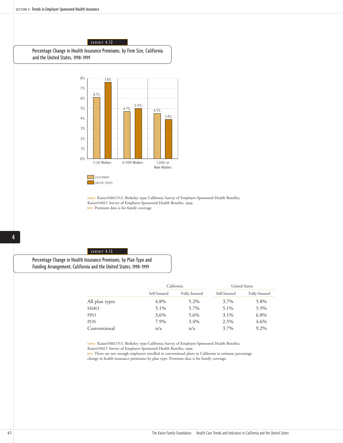. . . . . . . . . . . . . . . . . . . . . . . . . . . .<br>, . . . . . . . . . . . . . . . . . . . . . . . . . . . . . . . . . . . . . . . . . . . . . . . . . . . . . . . . . . . . . . . . . . . . . . . . . . . . . . . . . . . . . . . . . . . . . . . . . . . . . . . . . . . . .

# EXHIBIT 4.12

Percentage Change in Health Insurance Premiums, by Firm Size, California and the United States, 1998–1999



SOURCE: Kaiser/HRET/UC Berkeley 1999 California Survey of Employer-Sponsored Health Benefits; Kaiser/HRET Survey of Employer-Sponsored Health Benefits, 1999. NOTE: Premium data is for family coverage.

# EXHIBIT 4.13

Percentage Change in Health Insurance Premiums, by Plan Type and Funding Arrangement, California and the United States, 1998–1999

|                |              | `alifornia    | United States |               |  |
|----------------|--------------|---------------|---------------|---------------|--|
|                | Self-Insured | Fullv-Insured | Self-Insured  | Fully-Insured |  |
| All plan types | $8\%$        | 5.2%          | /9/0          | 5.8%          |  |
| HMO            | 5.1%         | .7%           | 5.1%          | $.9\%$        |  |
| PPC.           | $3.6\%$      | .6%           | $3.1\%$       |               |  |
|                | 7.9%         | $3.4\%$       | $2.5\%$       |               |  |
| Conventional   |              |               |               |               |  |

SOURCE: Kaiser/HRET/UC Berkeley 1999 California Survey of Employer-Sponsored Health Benefits;

Kaiser/HRET Survey of Employer-Sponsored Health Benefits, 1999.

NOTE: There are not enough employees enrolled in conventional plans in California to estimate percentage change in health insurance premiums by plan type. Premium data is for family coverage.

. . . . . . . . . . . . . . . . . . . . . . . . . . . . . . . . . . . . . . . . . . . . . . . . . . . . . . . . . . . . . . . . . . . . . . . . . . . . . . . . . . . . . . . . . . . . . . . . . . . . . . . . . . . .

.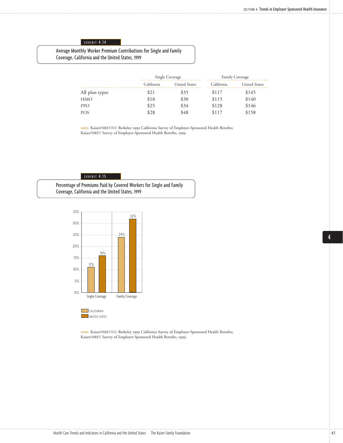. . . . . . . . . . . . . . . . . . . . . . . . . . . . . . . . . . . . . . . . . . . . . . . . . . . . . . . . . . . . . . . . . . . . . . . . . . . . . . . . . . . . . . . . . . . . . . . . . . . . . . . . . . . . . . . . . . . . . . . . . . . . . . . . . . . . . . . . . . . . . . . . . . . . . . . . . . . . . . . . . . . . . . . . . . . . . . . . . . . . . . . . . . . . . . . . . . . . . . . . . . . . . . . . . . . . . . . . . . . . . . . . . . . . . . . . . . . . . . . . . . . . . . . . . . . . . . . . . .

# EXHIBIT 4.14

.

. .

# Average Monthly Worker Premium Contributions for Single and Family

Coverage, California and the United States, 1999

|                |            | Single Coverage |            | Family Coverage |
|----------------|------------|-----------------|------------|-----------------|
|                | California | United States   | `alifornia | United States   |
| All plan types |            |                 |            |                 |
| HMO            | 618        |                 |            |                 |
|                |            |                 |            |                 |
|                |            |                 |            |                 |

SOURCE: Kaiser/HRET/UC Berkeley 1999 California Survey of Employer-Sponsored Health Benefits; Kaiser/HRET Survey of Employer-Sponsored Health Benefits, 1999.

# EXHIBIT 4.15

Percentage of Premiums Paid by Covered Workers for Single and Family Coverage, California and the United States, 1999



SOURCE: Kaiser/HRET/UC Berkeley 1999 California Survey of Employer-Sponsored Health Benefits; Kaiser/HRET Survey of Employer-Sponsored Health Benefits, 1999.

................................................................................................................................................................................................................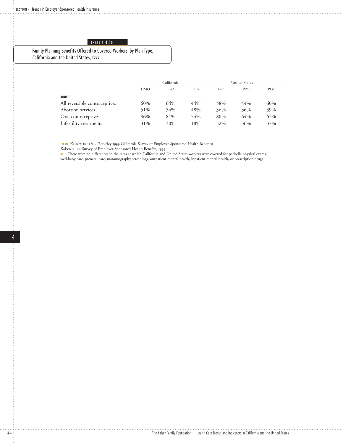. . . . . . . . . . . . . . . . . . . . . . . . . . . .<br>, . . . . . . . . . . . . . . . . . . . . . . . . . . . . . . . . . . . . . . . . . . . . . . . . . . . . . . . . . . . . . . . . . . . . . . . . . . . . . . . . . . . . . . . . . . . . . . . . . . . . . . . . . . . . . .

# EXHIBIT 4.16

Family Planning Benefits Offered to Covered Workers, by Plan Type, California and the United States, 1999

|                               |                 |     |       | ited States |     |     |  |
|-------------------------------|-----------------|-----|-------|-------------|-----|-----|--|
|                               | <b>HMO</b>      |     |       | <b>HMO</b>  | PP∩ | POS |  |
| <b>BENEFIT</b>                |                 |     |       |             |     |     |  |
| All reversible contraceptives |                 |     |       | ⊀%          |     |     |  |
| Abortion services             | 51%             | 54% |       |             |     |     |  |
| Oral contraceptives           | 60 <sub>0</sub> | 81% | $4\%$ | ס/יו        |     |     |  |
| Infertility treatments        | 31%             |     |       |             |     |     |  |

.

.

SOURCE: Kaiser/HRET/UC Berkeley 1999 California Survey of Employer-Sponsored Health Benefits;

Kaiser/HRET Survey of Employer-Sponsored Health Benefits, 1999.

NOTE: There were no differences in the rates at which California and United States workers were covered for periodic physical exams,

well-baby care, prenatal care, mammography screenings, outpatient mental health, inpatient mental health, or prescription drugs.

. . . . . . . . . . . . . . . . . . . . . . . . . . . . . . . . . . . . . . . . . . . . . . . . . . . . . . . . . . . . . . . . . . . . . . . . . . . . . . . . . . . . . . . . . . . . . . . . . . . . . . . . . . .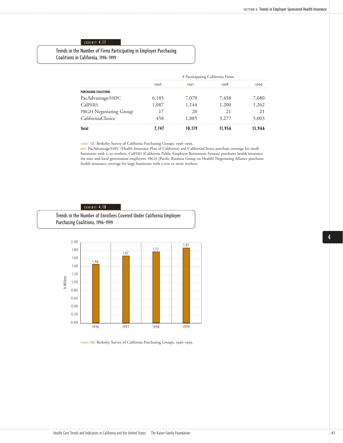. . . . . . . . . . . . . . . . . . . . . . . . . . . . . . . . . . . . . . . . . . . . . . . . . . . . . . . . . . . . . . . . . . . . . . . . . . . . . . . . . . . . . . . . . . . . . . . . . . . . . . . . . . . . . . . . . . . . . . . . . . . . . . . . . . . . . . . . . . . . . . . . . . . . . . . . . . . . . . . . . . . . . . . . . . . . . . . . . . . . . . . . . . . . . . . . . . . . . . . . . . . . . . . . . . . . . . . . . . . . . . . . . . . . . . . . . . . . . . . . . . . . . . . . . . . . . . . . . .

# EXHIBIT 4.17

.

. . Trends in the Number of Firms Participating in Employer Purchasing Coalitions in California, 1996–1999

|                              | # Participating California Firms |       |       |       |
|------------------------------|----------------------------------|-------|-------|-------|
|                              | 1996                             | 1997  | 1998  | 1999  |
| <b>PURCHASING COALITIONS</b> |                                  |       |       |       |
| PacAdvantage/HIPC            | 6,185                            | 7,070 | 7,458 |       |
| CalPERS                      | 1,087                            | 1.144 | 200   | ,262  |
| PBGH Negotiating Group       |                                  |       |       |       |
| CaliforniaChoice             |                                  | 1.885 |       | 5.003 |
| Total                        | 7.747                            |       | 1956  |       |

SOURCE: UC Berkeley Survey of California Purchasing Groups, 1996-1999.

NOTE: PacAdvantage/HIPC (Health Insurance Plan of California) and CaliforniaChoice purchase coverage for small businesses with 2-50 workers. CalPERS (California Public Employee Retirement System) purchases health insurance for state and local government employees. PBGH (Pacific Business Group on Health) Negotiating Alliance purchases health insurance coverage for large businesses with 2,000 or more workers.

# EXHIBIT 4.18

Trends in the Number of Enrollees Covered Under California Employer Purchasing Coalitions, 1996–1999



SOURCE: UC Berkeley Survey of California Purchasing Groups, 1996-1999.

................................................................................................................................................................................................................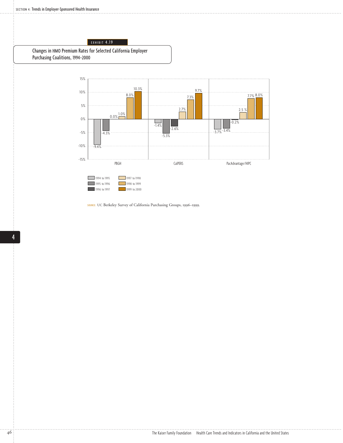# EXHIBIT 4.19

Changes in HMO Premium Rates for Selected California Employer Purchasing Coalitions, 1994-2000



SOURCE: UC Berkeley Survey of California Purchasing Groups, 1996-1999.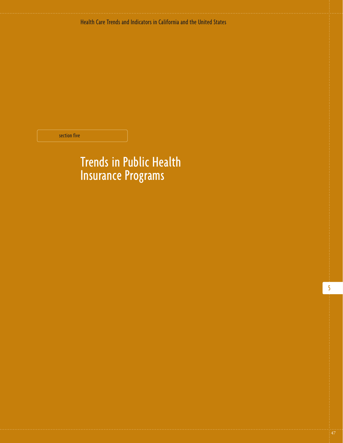Health Care Trends and Indicators in California and the United States

section five

**Trends in Public Health Insurance Programs** 

 $\overline{\mathbf{5}}$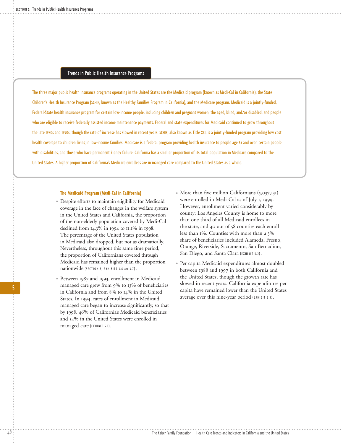. . . . . . . . . . . . . . . . . . . . . . . . . . . . . . . . . . . . . . . . . . . . . . . . . .

. . . . . . . . . . . . . . . . . . . . . . . . . . . . . . . . . . . . . . . . . . . . . . . . . . . . . . . . . . . . . . . . . . . . . . . . . . . . . . . . . . . . . . . . . . . . . . . . . . . . . . . . . . . . . . . . . . . . . . . . . . . . . . . . . . . . . . . . . . . . . . . . . . . . . . . .

5

#### Trends in Public Health Insurance Programs

The three major public health insurance programs operating in the United States are the Medicaid program (known as Medi-Cal in California), the State Children's Health Insurance Program (SCHIP, known as the Healthy Families Program in California), and the Medicare program. Medicaid is a jointly-funded, Federal-State health insurance program for certain low-income people, including children and pregnant women, the aged, blind, and/or disabled, and people who are eligible to receive federally assisted income maintenance payments. Federal and state expenditures for Medicaid continued to grow throughout the late 1980s and 1990s, though the rate of increase has slowed in recent years. SCHIP, also known as Title XXI, is a jointly-funded program providing low cost health coverage to children living in low-income families. Medicare is a federal program providing health insurance to people age 65 and over, certain people with disabilities, and those who have permanent kidney failure. California has a smaller proportion of its total population in Medicare compared to the United States. A higher proportion of California's Medicare enrollees are in managed care compared to the United States as a whole.

#### **The Medicaid Program (Medi-Cal in California)**

- Despite efforts to maintain eligibility for Medicaid coverage in the face of changes in the welfare system in the United States and California, the proportion of the non-elderly population covered by Medi-Cal declined from  $14.3\%$  in 1994 to  $11.1\%$  in 1998. The percentage of the United States population in Medicaid also dropped, but not as dramatically. Nevertheless, throughout this same time period, the proportion of Californians covered through Medicaid has remained higher than the proportion nationwide (SECTION 3, EXHIBITS 3.6 and 3.7).
- Between 1987 and 1993, enrollment in Medicaid managed care grew from  $9\%$  to  $13\%$  of beneficiaries in California and from 8% to 14% in the United States. In 1994, rates of enrollment in Medicaid managed care began to increase significantly, so that by 1998, 46% of California's Medicaid beneficiaries and 54% in the United States were enrolled in managed care (EXHIBIT 5.1).
- More than five million Californians  $(5,037,131)$ were enrolled in Medi-Cal as of July 1, 1999. However, enrollment varied considerably by county: Los Angeles County is home to more than one-third of all Medicaid enrollees in the state, and 40 out of 58 counties each enroll less than  $1\%$ . Counties with more than a  $3\%$ share of beneficiaries included Alameda, Fresno, Orange, Riverside, Sacramento, San Bernadino, San Diego, and Santa Clara (EXHIBIT 5.2).

.

.

• Per capita Medicaid expenditures almost doubled between 1988 and 1997 in both California and the United States, though the growth rate has slowed in recent years. California expenditures per capita have remained lower than the United States average over this nine-year period (EXHIBIT 5.3).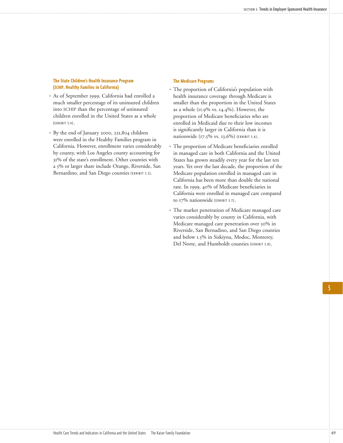. . . . . . . . . . . . . . . . . . . . . . . . . . . . . . . . . . . . . . . . . . . . . . . . . . . . . . . . . . . . . . . . . . . . . . . . . . . . . . . . . . . . . . . . . . . . . . . . . . . . . . . . . . . . . . . . . . . . . . . . . . . . . . . . . . . . . . . . . . . . . . . . . . . . . . . . . . . . . . . . . . . . . . . . . . . . . . . . . . . . . . . . . . . . . . . . . . . . . . . . . . . . . . . . . . . . . . . . . . . . . . . . . . . . . . . . . . . . . . . . . . . . . . . . . . . . . . . . . . . . . . . . . . . .

5

#### **The State Children's Health Insurance Program (SCHIP, Healthy Families in California)**

.

. .

- As of September 1999, California had enrolled a much smaller percentage of its uninsured children into SCHIP than the percentage of uninsured children enrolled in the United States as a whole ( EXHIBIT 5.4).
- By the end of January 2000, 221,804 children were enrolled in the Healthy Families program in California. However, enrollment varies considerably by county, with Los Angeles county accounting for % of the state's enrollment. Other counties with a 5% or larger share include Orange, Riverside, San Bernardino, and San Diego counties (EXHIBIT 5.5).

#### **The Medicare Programs**

- The proportion of California's population with health insurance coverage through Medicare is smaller than the proportion in the United States as a whole  $(11.9\% \text{ vs. } 14.4\%)$ . However, the proportion of Medicare beneficiaries who are enrolled in Medicaid due to their low incomes is significantly larger in California than it is nationwide  $(17.5\% \text{ vs. } 13.6\%)$  (EXHIBIT 5.6).
- The proportion of Medicare beneficiaries enrolled in managed care in both California and the United States has grown steadily every year for the last ten years. Yet over the last decade, the proportion of the Medicare population enrolled in managed care in California has been more than double the national rate. In 1999, 40% of Medicare beneficiaries in California were enrolled in managed care compared to 17% nationwide (EXHIBIT 5.7).
- The market penetration of Medicare managed care varies considerably by county in California, with Medicare managed care penetration over 50% in Riverside, San Bernadino, and San Diego counties and below 1.5% in Siskiyou, Modoc, Monterey, Del Norte, and Humboldt counties (EXHIBIT 5.8).

................................................................................................................................................................................................................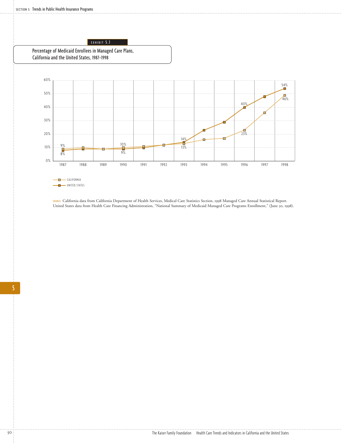. . . . . . . . . . . . . . . . . . . . . . . . . . . .<br>, . . . . . . . . . . . . . . . . . . . . . . . . . . . . . . . . . . . . . . . . . . . . . . . . . . . . . . . . . . . . . . . . . . . . . . . . . . . . . . . . . . . . . . . . . . . . . . . . . . . . . . . . . . . . . . . . . . . . . . . . . . . . . . . . . . . . . . . . . . . . . .



.

.

source: California data from California Department of Health Services, Medical Care Statistics Section, 1998 Managed Care Annual Statistical Report. United States data from Health Care Financing Administration, "National Summary of Medicaid Managed Care Programs Enrollment," (June 30, 1998).

. . . . . . . . . . . . . . . . . . . . . . . . . . . . . . . . . . . . . . . . . . . . . . . . . . . . . . . . . . . . . . . . . . . . . . . . . .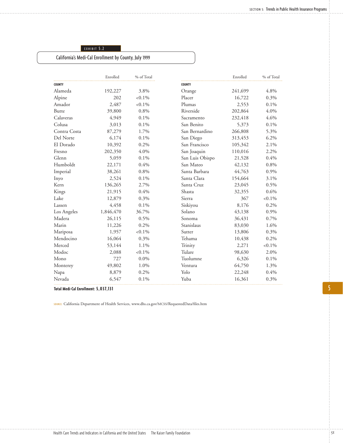. . . . . . . . . . . . . . . . . . . . . . . . . . . . . . . . . . . . . . . . . . . . . . . . . . . . . . . . . . . . . . . . . . . . . . . . . . . . . . . . . . . . . . . . . . . . . . . . . . . . . . . . . . . . . . . . . . . . . . . . . . . . . . . . . . . . . . . . . . . . . . . . . . . . . . . . . . . . . . . . . . . . . . . . . . . . . . . . . . . . . . . . . . . . . . . . . . . . . . . . . . . . . . . . . . . . . . . . . . . . . . . . . . . . . . . . . . . . . . . . . . . . . . . . . . . . . . . . .

# EXHIBIT 5.2

.

. . California's Medi-Cal Enrollment by County, July 1999

|               | Enrolled  | % of Total |                 | Enrolled | % of Total |
|---------------|-----------|------------|-----------------|----------|------------|
| <b>COUNTY</b> |           |            | <b>COUNTY</b>   |          |            |
| Alameda       | 192,227   | 3.8%       | Orange          | 241,699  | 4.8%       |
| Alpine        | 202       | $< 0.1\%$  | Placer          | 16,722   | 0.3%       |
| Amador        | 2,487     | ${<}0.1\%$ | Plumas          | 2,553    | 0.1%       |
| Butte         | 39,800    | 0.8%       | Riverside       | 202,864  | 4.0%       |
| Calaveras     | 4,949     | 0.1%       | Sacramento      | 232,418  | 4.6%       |
| Colusa        | 3,013     | $0.1\%$    | San Benito      | 5,373    | 0.1%       |
| Contra Costa  | 87,279    | 1.7%       | San Bernardino  | 266,808  | 5.3%       |
| Del Norte     | 6,174     | 0.1%       | San Diego       | 313,453  | 6.2%       |
| El Dorado     | 10,392    | 0.2%       | San Francisco   | 105,342  | 2.1%       |
| Fresno        | 202,350   | 4.0%       | San Joaquin     | 110,016  | 2.2%       |
| Glenn         | 5,059     | 0.1%       | San Luis Obispo | 21,528   | 0.4%       |
| Humboldt      | 22,171    | 0.4%       | San Mateo       | 42,132   | 0.8%       |
| Imperial      | 38,261    | 0.8%       | Santa Barbara   | 44,763   | 0.9%       |
| Inyo          | 2,524     | 0.1%       | Santa Clara     | 154,664  | 3.1%       |
| Kern          | 136,265   | 2.7%       | Santa Cruz      | 23,045   | 0.5%       |
| Kings         | 21,915    | 0.4%       | Shasta          | 32,355   | 0.6%       |
| Lake          | 12,879    | 0.3%       | Sierra          | 367      | $< 0.1\%$  |
| Lassen        | 4,458     | 0.1%       | Siskiyou        | 8,176    | 0.2%       |
| Los Angeles   | 1,846,470 | 36.7%      | Solano          | 43,138   | 0.9%       |
| Madera        | 26,115    | 0.5%       | Sonoma          | 36,431   | 0.7%       |
| Marin         | 11,226    | 0.2%       | Stanislaus      | 83,030   | 1.6%       |
| Mariposa      | 1,957     | ${<}0.1\%$ | Sutter          | 13,806   | 0.3%       |
| Mendocino     | 16,064    | 0.3%       | Tehama          | 10,438   | 0.2%       |
| Merced        | 53,144    | 1.1%       | Trinity         | 2,271    | $< 0.1\%$  |
| Modoc         | 2,088     | ${<}0.1\%$ | Tulare          | 98,630   | 2.0%       |
| Mono          | 727       | $0.0\%$    | Tuolumne        | 6,326    | 0.1%       |
| Monterey      | 49,802    | 1.0%       | Ventura         | 64,750   | 1.3%       |
| Napa          | 8,879     | 0.2%       | Yolo            | 22,248   | 0.4%       |
| Nevada        | 6,547     | 0.1%       | Yuba            | 16,361   | 0.3%       |

**Total Medi-Cal Enrollment: 5,037,131**

SOURCE: California Department of Health Services, www.dhs.ca.gov/MCSS/RequestedData/files.htm

................................................................................................................................................................................................................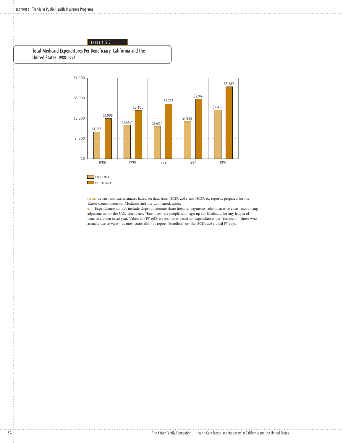. . . . . . . . . . . . . . . . . . . . . . . . . . . .<br>, . . . . . . . . . . . . . . . . . . . . . . . . . . . . . . . . . . . . . . . . . . . . . . . . . . . . . . . . . . . . . . . . . . . . . . . . . . . . . . . . . . . . . . . . . . . . . . . . . . . . . . . . . . . . . . . . . . . . . . . . . . . . . . . . . . . . . . . . . . . . . . . . . . . . . . . . . . . . . . . . . . . . . . . . . . . . . . . . . . . . . . . . . . . . . . . . . . . . . . . . . . . . . . . . . . . . . . . . . . . . . . . . . . . . .

# EXHIBIT 5.3

Total Medicaid Expenditures Per Beneficiary, California and the United States, 1988–1997



SOURCE: Urban Institute estimates based on data from HCFA-2082 and HCFA-64 reports, prepared for the Kaiser Commission on Medicaid and the Uninsured, 2000.

NOTE: Expenditures do not include disproportionate share hospital payments, administrative costs, accounting adjustments, or the U.S. Territories. "Enrollees" are people who sign up for Medicaid for any length of time in a given fiscal year. Values for FY 1988 are estimates based on expenditures per "recipient" (those who actually use services), as most states did not report "enrollees" on the HCFA-2082 until FY 1990.

.

.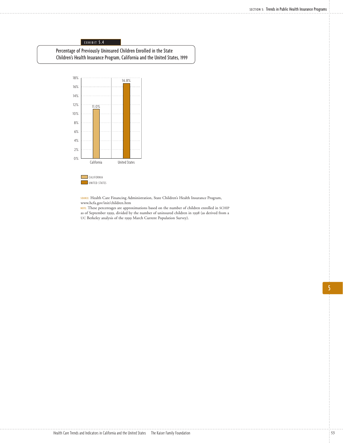. . . . . . . . . . . . . . . . . . . . . . . . . . . . . . . . . . . . . . . . . . . . . . . . . . . . . . . . . . . . . . . . . . . . . . . . . . . . . . . . . . . . . . . . . . . . . . . . . . . . . . . . . . . . . . . . . . . . . . . . . . . . . . . . . . . . . . . . . . . . . . . . . . . . . . . . . . . . . . . . . . . . . . . . . . . . . . . . . . . . . . . . . . . . . . . . . . . . . . . . . . . . . . . . . . . . . . . . . . . . . . . . . . . . . . . . . . . . . . . . . . . . . . . . . . . . . . . . .

# EXHIBIT 5.4

.

. . Percentage of Previously Uninsured Children Enrolled in the State Children's Health Insurance Program, California and the United States, 1999



SOURCE: Health Care Financing Administration, State Children's Health Insurance Program, www.hcfa.gov/init/children.htm

NOTE: These percentages are approximations based on the number of children enrolled in SCHIP as of September 1999, divided by the number of uninsured children in 1998 (as derived from a UC Berkeley analysis of the 1999 March Current Population Survey).

................................................................................................................................................................................................................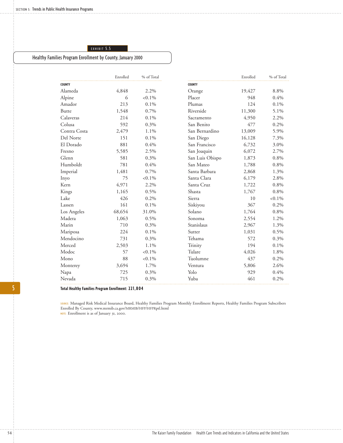. . . . . . . . . . . . . . . . . . . . . . . . . . . . . . . .<br>1 . . . . . . . . . . . . . . . . . . . . . . . . . . . . . . . . . . . . . . . . . . . . . . . . . . . . . . . . . . . . . . . . . . . . . . . . . . . . . . . . . . . . . . . . . . . . . . . . . . . . . . . . . . . . . . . . . . . . . . . . . . . . . . . . . . . . . . . . . . . . . . . . . . 5 . . . . . . . . . . . . . . . . . . . . . . . . . . . . . . . . . . . . . . . . . . . . . . . . . . . . . . . . . . . . . . . . . . . . . . . . . . . . . . . .

# EXHIBIT 5.5

Healthy Families Program Enrollment by County, January 2000

|               | Enrolled | % of Total |                 | Enrolled | % of Total |
|---------------|----------|------------|-----------------|----------|------------|
| <b>COUNTY</b> |          |            | <b>COUNTY</b>   |          |            |
| Alameda       | 4,848    | 2.2%       | Orange          | 19,427   | 8.8%       |
| Alpine        | 6        | ${<}0.1\%$ | Placer          | 948      | 0.4%       |
| Amador        | 213      | 0.1%       | Plumas          | 124      | 0.1%       |
| Butte         | 1,548    | 0.7%       | Riverside       | 11,300   | 5.1%       |
| Calaveras     | 214      | 0.1%       | Sacramento      | 4,950    | 2.2%       |
| Colusa        | 592      | 0.3%       | San Benito      | 477      | 0.2%       |
| Contra Costa  | 2,479    | 1.1%       | San Bernardino  | 13,009   | 5.9%       |
| Del Norte     | 151      | $0.1\%$    | San Diego       | 16,128   | 7.3%       |
| El Dorado     | 881      | 0.4%       | San Francisco   | 6,732    | 3.0%       |
| Fresno        | 5,585    | 2.5%       | San Joaquin     | 6,072    | 2.7%       |
| Glenn         | 581      | 0.3%       | San Luis Obispo | 1,873    | 0.8%       |
| Humboldt      | 781      | 0.4%       | San Mateo       | 1,788    | 0.8%       |
| Imperial      | 1,481    | 0.7%       | Santa Barbara   | 2,868    | 1.3%       |
| Inyo          | 75       | $< 0.1\%$  | Santa Clara     | 6,179    | 2.8%       |
| Kern          | 4,971    | 2.2%       | Santa Cruz      | 1,722    | 0.8%       |
| Kings         | 1,165    | 0.5%       | Shasta          | 1,767    | 0.8%       |
| Lake          | 426      | $0.2\%$    | Sierra          | 10       | ${<}0.1\%$ |
| Lassen        | 161      | 0.1%       | Siskiyou        | 367      | 0.2%       |
| Los Angeles   | 68,654   | 31.0%      | Solano          | 1,764    | 0.8%       |
| Madera        | 1,063    | 0.5%       | Sonoma          | 2,554    | 1.2%       |
| Marin         | 710      | 0.3%       | Stanislaus      | 2,967    | 1.3%       |
| Mariposa      | 224      | $0.1\%$    | Sutter          | 1,031    | $0.5\%$    |
| Mendocino     | 731      | 0.3%       | Tehama          | 572      | 0.3%       |
| Merced        | 2,503    | 1.1%       | Trinity         | 194      | $0.1\%$    |
| Modoc         | 57       | ${<}0.1\%$ | Tulare          | 4,026    | 1.8%       |
| Mono          | 88       | $< 0.1\%$  | Tuolumne        | 437      | 0.2%       |
| Monterey      | 3,694    | 1.7%       | Ventura         | 5,806    | 2.6%       |
| Napa          | 725      | 0.3%       | Yolo            | 929      | 0.4%       |
| Nevada        | 715      | 0.3%       | Yuba            | 461      | 0.2%       |

.

.

#### **Total Healthy Families Program Enrollment: 221,804**

<mark>sourc</mark>e: Managed Risk Medical Insurance Board, Healthy Families Program Monthly Enrollment Reports, Healthy Families Program Subscribers Enrolled By County, www.mrmib.ca.gov/MRMIB/HFP/HFPRptl.html  $N$ <sup>OTE:</sup> Enrollment is as of January 31, 2000.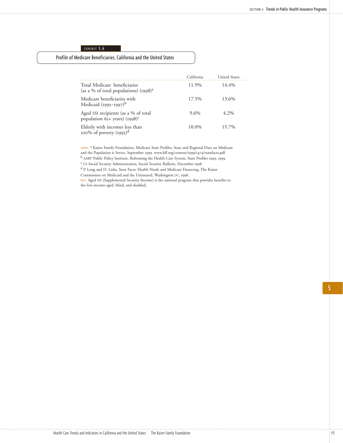. . . . . . . . . . . . . . . . . . . . . . . . . . . . . . . . . . . . . . . . . . . . . . . . . . . . . . . . . . . . . . . . . . . . . . . . . . . . . . . . . . . . . . . . . . . . . . . . . . . . . . . . . . . . . . . . . . . . . . . . . . . . . . . . . . . . . . . . . . . . . . . . . . . . . . . . . . . . . . . . . . . . . . . . . . . . . . . . . . . . . . . . . . . . . . . . . . . . . . . . . . . . . . . . . . . . . . . . . . . . . . . . . . . . . . . . . . . . . . . . . . . . . . . . . . . . . . . . . .

# EXHIBIT 5.6

.

. .

#### Profile of Medicare Beneficiaries, California and the United States

|                                                                                     | California | <b>United States</b> |
|-------------------------------------------------------------------------------------|------------|----------------------|
| Total Medicare beneficiaries<br>(as a % of total populations) $(1998)^{a}$          | 11.9%      | 14.4%                |
| Medicare beneficiaries with<br>Medicaid $(1995-1997)^b$                             | $17.5\%$   | 13.6%                |
| Aged SSI recipients (as a % of total<br>population $65+$ years) (1998) <sup>c</sup> | $9.6\%$    | 4.20%                |
| Elderly with incomes less than<br>100% of poverty (1995) <sup>d</sup>               | $10.0\%$   | 15.7%                |

SOURCE: a Kaiser Family Foundation, Medicare State Profiles, State and Regional Data on Medicare and the Population it Serves, September 1999. www.kff.org/content/1999/1474/statefacts.pdf

<sup>b</sup> AARP Public Policy Institute, Reforming the Health Care System, State Profiles 1999, 1999.

<sup>c</sup> US Social Security Administration, Social Security Bulletin, December 1998.

d P. Long and D. Liska, State Facts: Health Needs and Medicare Financing, The Kaiser

Commission on Medicaid and the Uninsured, Washington DC, 1998.

NOTE: Aged SSI (Supplemental Security Income) is the national program that provides benefits to the low-income aged, blind, and disabled.

................................................................................................................................................................................................................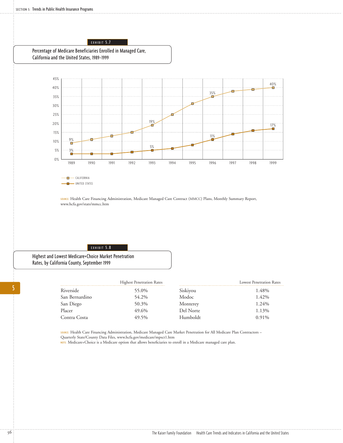. . . . . . . . . . . . . . . . . . . . . . . . . . . .<br>, . . . . . . . . . . . . . . . . . . . . . . . . . . . . . . . . . . . . . . . . . . . . . . . . . . . . . . . . . . . . . . . . . . . . . . . . . . . . . . . . . . . . . . . . . . . . . . . . . . . . . . . . . . . . . . . . . . . . . . . . . . . . .<br>, . . . . . . . . . . . . . . . .

# EXHIBIT 5.7

Percentage of Medicare Beneficiaries Enrolled in Managed Care, California and the United States, 1989–1999



.

.

- UNITED STATES o.

SOURCE: Health Care Financing Administration, Medicare Managed Care Contract (MMCC) Plans, Monthly Summary Report, www.hcfa.gov/stats/mmcc.htm

# EXHIBIT 5.8

Highest and Lowest Medicare+Choice Market Penetration Rates, by California County, September 1999

|                | <b>Highest Penetration Rates</b> |           | Lowest Penetration Rates |
|----------------|----------------------------------|-----------|--------------------------|
| Riverside      | 55.0%                            | Siskiyou  | 48%                      |
| San Bernardino | 54.2%                            | Modoc     | $.42\%$                  |
| San Diego      | 50.3%                            | Monterey  | 1.24%                    |
| Placer         | 9.6%                             | Del Norte | $13\%$                   |
| Contra Costa   | $+9.5\%$                         | Humboldt  | 0.91%                    |

SOURCE: Health Care Financing Administration, Medicare Managed Care Market Penetration for All Medicare Plan Contractors – Quarterly State/County Data Files, www.hcfa.gov/medicare/mpsct1.htm

NOTE: Medicare+Choice is a Medicare option that allows beneficiaries to enroll in a Medicare managed care plan.

. . . . . . . . . . . . . . . . . . . . . . . . . . . . . . . . . . . . . . . . . . . . . . . . . . . . . . . . . . . . . . . . . . . . . . . . . .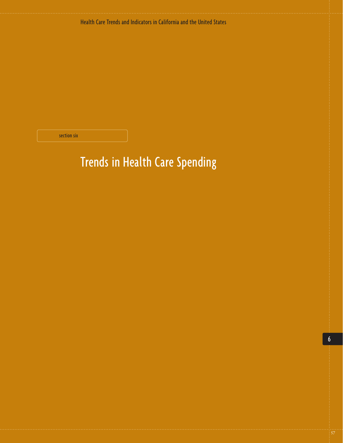Health Care Trends and Indicators in California and the United States

section six

# **Trends in Health Care Spending**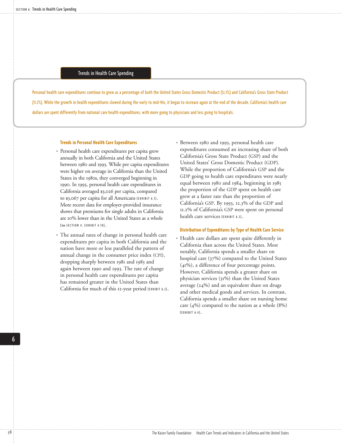. . . . . . . . . . . . . . . . . . . . . . . . . . . . . . . . . . . . . . . . . . . . . . . . . .

. . . . . . . . . . . . . . . . . . . . . . . . . . . . . . . . . . . . . . . . . . . . . . . . . . . . . . . . . . . . . . . . . . . . . . . . . . . . . . . . . . . . . . . . . . . . . . . . . . . . . . . . . . . . . . . . . . . . . . . . . . . . . .

#### Trends in Health Care Spending

Personal health care expenditures continue to grow as a percentage of both the United States Gross Domestic Product (12.3%) and California's Gross State Product (11.2%). While the growth in health expenditures slowed during the early to mid-90s, it began to increase again at the end of the decade. California's health care dollars are spent differently from national care health expenditures, with more going to physicians and less going to hospitals.

#### **Trends in Personal Health Care Expenditures**

- Personal health care expenditures per capita grew annually in both California and the United States between 1980 and 1993. While per capita expenditures were higher on average in California than the United States in the 1980s, they converged beginning in 1990. In 1993, personal health care expenditures in California averaged \$3,026 per capita, compared to \$3,067 per capita for all Americans (EXHIBIT 6.1). More recent data for employer-provided insurance shows that premiums for single adults in California are 10% lower than in the United States as a whole  $($ See SECTION 4, EXHIBIT 4.10).
- The annual rates of change in personal health care expenditures per capita in both California and the nation have more or less paralleled the pattern of annual change in the consumer price index (CPI), dropping sharply between 1981 and 1983 and again between 1990 and 1993. The rate of change in personal health care expenditures per capita has remained greater in the United States than California for much of this 12-year period (EXHIBIT 6.2).
- Between 1980 and 1993, personal health care expenditures consumed an increasing share of both California's Gross State Product (GSP) and the United States' Gross Domestic Product (GDP). While the proportion of California's GSP and the GDP going to health care expenditures were nearly equal between  $1980$  and  $1984$ , beginning in  $1985$ the proportion of the GDP spent on health care grew at a faster rate than the proportion of California's GSP. By 1993, 12.3% of the GDP and 11.2% of California's GSP were spent on personal health care services (EXHIBIT 6.3).

.

.

#### **Distribution of Expenditures by Type of Health Care Service**

• Health care dollars are spent quite differently in California than across the United States. Most notably, California spends a smaller share on hospital care  $(37%)$  compared to the United States  $(41\%)$ , a difference of four percentage points. However, California spends a greater share on physician services (31%) than the United States average  $(24%)$  and an equivalent share on drugs and other medical goods and services. In contrast, California spends a smaller share on nursing home care  $(4\%)$  compared to the nation as a whole  $(8\%)$ ( EXHIBIT 6.4).

. . . . . . . . . . . . . . . . . . . . . . . . . . . . . . . . . . . . . . . . . . .

.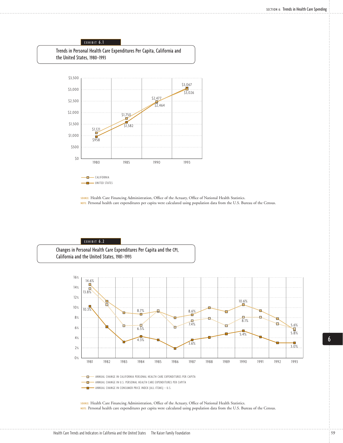. . . . . . . . . . . . . . . . . . . . . . . . . . . . . . . . . . . . . . . . . . . . . . . . . . . . . . . . . . . . . . . . . . . . . . . . . . . . . . . . . . . . . . . . . . . . . . . . . . . . . . . . . . . . . . . . . . . . . . . . . . . . . . . . . . . . . . . . . . . . . . . . . . . . . . . . . . . . . . . . . . . . . . . . . . . . . . . . . . . . . . . . . . . . . . . . . . . . . . . . . . . . . . . . . 6 . . . . . . . . . . . . . . . . . . . . . . . . . . . . . . . . . . . . . . . . . . . . .



SOURCE: Health Care Financing Administration, Office of the Actuary, Office of National Health Statistics. NOTE: Personal health care expenditures per capita were calculated using population data from the U.S. Bureau of the Census.

# EXHIBIT 6.2

.

. . Changes in Personal Health Care Expenditures Per Capita and the CPI, California and the United States, 1981–1993



Đ. ANNUAL CHANGE IN CALIFORNIA PERSONAL HEALTH CARE EXPENDITURES PER CAPITA

ANNUAL CHANGE IN U.S. PERSONAL HEALTH CARE EXPENDITURES PER CAPITA

ANNUAL CHANGE IN CONSUMER PRICE INDEX (ALL ITEMS) – U.S.  $\overline{a}$ 

SOURCE: Health Care Financing Administration, Office of the Actuary, Office of National Health Statistics. NOTE: Personal health care expenditures per capita were calculated using population data from the U.S. Bureau of the Census.

. .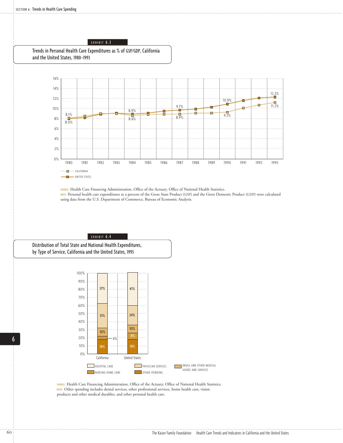. . . . . . . . . . . . . . . . . . . . . . . . . . . .<br>, . . . . . . . . . . . . . . . . . . . . . . . . . . . . . . . . . . . . . . . . . . . . . . . . . . . . . . . . . . . . . . . . . . . . . . . . . . . . . . . . . . . . . . . . . . . . . . . . . . . . . . . . . . . . . . . . . . . . . . . . . . . . . . . . . . . . . . . . . . . . . . . . . . . . . . . . . . . . . . . . . . . . . . . . . . .

# EXHIBIT 6.3

Trends in Personal Health Care Expenditures as % of GSP/GDP, California and the United States, 1980–1993



.

.

SOURCE: Health Care Financing Administration, Office of the Actuary, Office of National Health Statistics. NOTE: Personal health care expenditures as a percent of the Gross State Product (GSP) and the Gross Domestic Product (GDP) were calculated using data from the U.S. Department of Commerce, Bureau of Economic Analysis.

# EXHIBIT 6.4

Distribution of Total State and National Health Expenditures, by Type of Service, California and the United States, 1993



SOURCE: Health Care Financing Administration, Office of the Actuary, Office of National Health Statistics. NOTE: Other spending includes dental services, other professional services, home health care, vision products and other medical durables, and other personal health care.

. . . . . . . . . . . . . . . . . . . . . . . . . . . . . . . . . . . . . . . . . . . .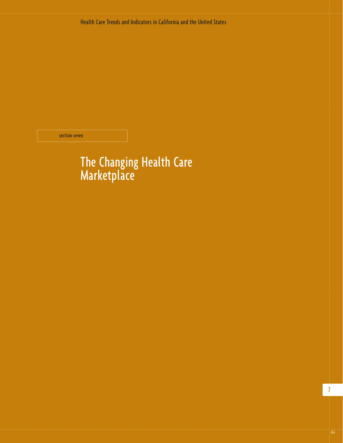Health Care Trends and Indicators in California and the United States

section seven

The Changing Health Care<br>Marketplace

 $\overline{1}$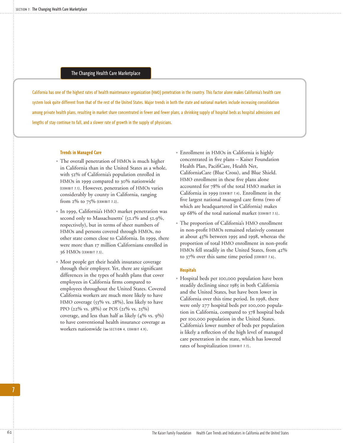. . . . . . . . . . . . . . . . . . . . . . . . . . . . . . . . . . . . . . . . . . . . . . . . . .

. . . . . . . . . . . . . . . . . . . . . . . . . . . . . . . . . . . . . . . . . . . . . . . . . . . . . . . . . . . . . . . . . . . . . . . . . . . . . . . . . . . . . . . . . . . . . . . . . . . . . . . . . . . . . . . . . . . . . . . . . . . . . . . . . . . . . . . . . . . . . . . . . . . . . . . . . . . . . . . . . . . . . . . . . . . . . . .

#### The Changing Health Care Marketplace

California has one of the highest rates of health maintenance organization (HMO) penetration in the country. This factor alone makes California's health care system look quite different from that of the rest of the United States. Major trends in both the state and national markets include increasing consolidation among private health plans, resulting in market share concentrated in fewer and fewer plans, a shrinking supply of hospital beds as hospital admissions and lengths of stay continue to fall, and a slower rate of growth in the supply of physicians.

#### **Trends in Managed Care**

- The overall penetration of HMOs is much higher in California than in the United States as a whole, with 52% of California's population enrolled in HMOs in 1999 compared to 30% nationwide ( EXHIBIT 7.1 ). However, penetration of HMOs varies considerably by county in California, ranging from  $2\%$  to  $75\%$  (EXHIBIT 7.2).
- In 1999, California's HMO market penetration was second only to Massachusetts' (52.1% and 52.9%, respectively), but in terms of sheer numbers of HMOs and persons covered through HMOs, no other state comes close to California. In 1999, there were more than 17 million Californians enrolled in 36 HMOs (EXHIBIT 7.3).
- Most people get their health insurance coverage through their employer. Yet, there are significant differences in the types of health plans that cover employees in California firms compared to employees throughout the United States. Covered California workers are much more likely to have HMO coverage  $(53\% \text{ vs. } 28\%)$ , less likely to have PPO (22% vs.  $38\%$ ) or POS (21% vs. 25%) coverage, and less than half as likely  $(4\% \text{ vs. } 9\%)$ to have conventional health insurance coverage as workers nationwide (See SECTION 4, EXHIBIT 4.9).

• Enrollment in HMOs in California is highly concentrated in five plans – Kaiser Foundation Health Plan, PacifiCare, Health Net, CaliforniaCare (Blue Cross), and Blue Shield. HMO enrollment in these five plans alone accounted for 78% of the total HMO market in California in  $1999$  ( $\kappa$ HIBIT 7.4). Enrollment in the five largest national managed care firms (two of which are headquartered in California) makes up 68% of the total national market (EXHIBIT 7.5).

.

.

• The proportion of California's HMO enrollment in non-profit HMOs remained relatively constant at about  $43\%$  between 1995 and 1998, whereas the proportion of total HMO enrollment in non-profit HMOs fell steadily in the United States, from 42% to  $37\%$  over this same time period (EXHIBIT 7.6).

#### **Hospitals**

• Hospital beds per 100,000 population have been steadily declining since 1985 in both California and the United States, but have been lower in California over this time period. In 1998, there were only 277 hospital beds per 100,000 population in California, compared to 378 hospital beds per 100,000 population in the United States. California's lower number of beds per population is likely a reflection of the high level of managed care penetration in the state, which has lowered rates of hospitalization (EXHIBIT 7.7).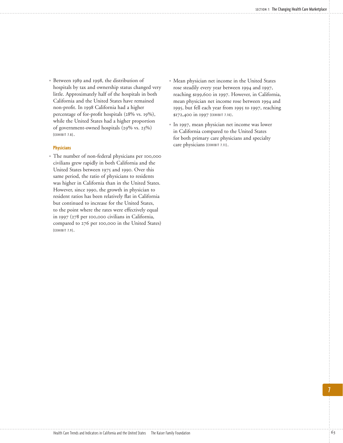• Between 1989 and 1998, the distribution of hospitals by tax and ownership status changed very little. Approximately half of the hospitals in both California and the United States have remained non-profit. In 1998 California had a higher percentage of for-profit hospitals  $(28\% \text{ vs. } 19\%),$ while the United States had a higher proportion of government-owned hospitals  $(29\% \text{ vs. } 23\%)$ ( EXHIBIT 7.8).

### **Physicians**

.

. .

- The number of non-federal physicians per 100,000 civilians grew rapidly in both California and the United States between 1975 and 1990. Over this same period, the ratio of physicians to residents was higher in California than in the United States. However, since 1990, the growth in physician to resident ratios has been relatively flat in California but continued to increase for the United States, to the point where the rates were effectively equal in  $1997$  ( $278$  per 100,000 civilians in California, compared to 276 per 100,000 in the United States) ( EXHIBIT 7.9).
- Mean physician net income in the United States rose steadily every year between 1994 and 1997, reaching \$199,600 in 1997. However, in California, mean physician net income rose between 1994 and 1995, but fell each year from 1995 to 1997, reaching \$172,400 in 1997 (EXHIBIT 7.10).
- In 1997, mean physician net income was lower in California compared to the United States for both primary care physicians and specialty care physicians (EXHIBIT 7.11).

................................................................................................................................................................................................................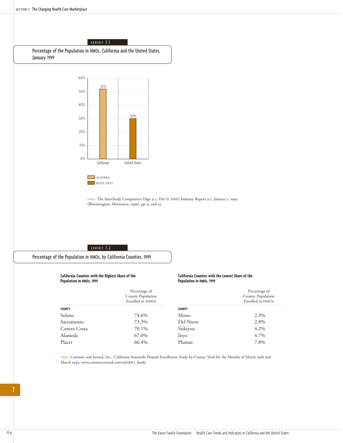## EXHIBIT 7.1

Percentage of the Population in HMOs, California and the United States, January 1999



SOURCE: The InterStudy Competitive Edge 9.2, Part II: HMO Industry Report 9.2, January 1, 1999 (Bloomington, Minnesota, 1999), pp 32 and 33.

# EXHIBIT 7.2

Percentage of the Population in HMOs, by California Counties, 1999

#### **California Counties with the Highest Share of the Population in HMOs, 1999**

#### **California Counties with the Lowest Share of the Population in HMOs, 1999**

.

.

|               | Percentage of<br>County Population<br>Enrolled in HMOs |                   | Percentage of<br>County Population<br>Enrolled in HMOs |
|---------------|--------------------------------------------------------|-------------------|--------------------------------------------------------|
| <b>COUNTY</b> |                                                        | <b>COUNTY</b>     |                                                        |
| Solano        | 74.6%                                                  | Mono              | 2.3%                                                   |
| Sacramento    | 73.3%                                                  | Del Norte         | 2.8%                                                   |
| Contra Costa  | 70.1%                                                  | Siskiyou          | 4.2%                                                   |
| ameda         | 67.0%                                                  | Inyo              | 4.7%                                                   |
| Placer        | /10/                                                   | $_{\text{H}}$ mac | 78%                                                    |

source: Cattaneo and Stroud, Inc., California Statewide Prepaid Enrollment Study by County Total for the Months of March 1998 and March 1999, www.cattaneostroud.com/99HMO\_Study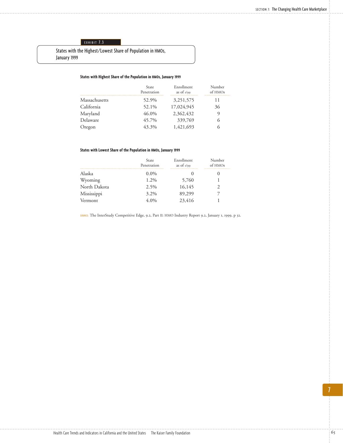## EXHIBIT 7.3

.

. .

States with the Highest/Lowest Share of Population in HMOs, January 1999

## **States with Highest Share of the Population in HMOs, January 1999**

|               | <b>State</b><br>Penetration | Enrollment<br>as of $1/99$ | Number<br>of HMOs |
|---------------|-----------------------------|----------------------------|-------------------|
| Massachusetts | 52.9%                       | 3,251,575                  |                   |
| California    | 52.1%                       | 17,024,945                 | 36                |
| Maryland      | 46.0%                       | 2,362,432                  |                   |
| Delaware      | 45.7%                       | 339,769                    |                   |
| regon         | $13.3\%$                    | 1,421,693                  |                   |

### **States with Lowest Share of the Population in HMOs, January 1999**

|              | State<br>Penetration | Enrollment<br>as of $1/99$ | Number<br>of HMOs<br> |
|--------------|----------------------|----------------------------|-----------------------|
| Alaska       | $0.0\%$              |                            |                       |
| Wyoming      | 1.2%                 | 5,760                      |                       |
| North Dakota | 2.5%                 | 16,145                     |                       |
| Mississippi  | 3.2%                 | 89,299                     |                       |
| Vermont      | 4.0%                 | 23,416                     |                       |

source: The InterStudy Competitive Edge, 9.2, Part II: HMO Industry Report 9.2, January 1, 1999, p 32.

................................................................................................................................................................................................................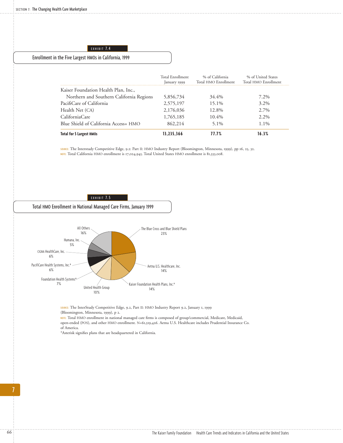### EXHIBIT 7.4

Enrollment in the Five Largest HMOs in California, 1999

|                                          | Total Enrollment<br>January 1999 | % of California<br>Total HMO Enrollment | % of United States<br>Total HMO Enrollment |
|------------------------------------------|----------------------------------|-----------------------------------------|--------------------------------------------|
| Kaiser Foundation Health Plan, Inc.,     |                                  |                                         |                                            |
| Northern and Southern California Regions | 5,856,734                        | 34.4%                                   | 7.2%                                       |
| PacifiCare of California                 | 2,575,197                        | 15.1%                                   | $3.2\%$                                    |
| Health Net (CA)                          | 2,176,036                        | 12.8%                                   | 2.7%                                       |
| CaliforniaCare                           | 1,765,185                        | $10.4\%$                                | $2.2\%$                                    |
| Blue Shield of California Access+ HMO    | 862.214                          | $5.1\%$                                 | $1.1\%$                                    |
| <b>Total for 5 Largest HMOs</b>          | 13.235.366                       | 77.7%                                   | 16.3%                                      |

.

.

source: The Interstudy Competitive Edge, 9.2: Part II: HMO Industry Report (Bloomington, Minnesota, 1999), pp 16, 25, 32. NOTE: Total California HMO enrollment is 17,024,945. Total United States HMO enrollment is 81,333,008.



source: The InterStudy Competitive Edge, 9.2, Part II: HMO Industry Report 9.2, January 1, 1999 (Bloomington, Minnesota, 1999), p 2.

NOTE: Total HMO enrollment in national managed care firms is composed of group/commercial, Medicare, Medicaid, open-ended (POS), and other HMO enrollment. N=61,519,426. Aetna U.S. Healthcare includes Prudential Insurance Co. of America.

\*Asterisk signifies plans that are headquartered in California.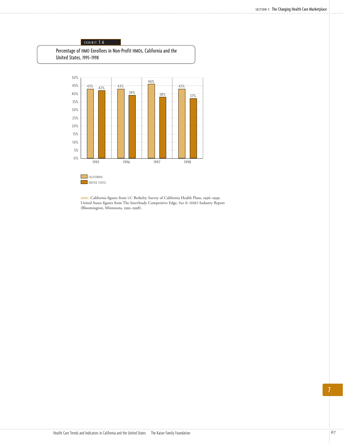

.

source: California figures from UC Berkeley Survey of California Health Plans, 1996-1999. United States figures from The InterStudy Competitive Edge, Part II: HMO Industry Report (Bloomington, Minnesota, 1995-1998).

................................................................................................................................................................................................................ Health Care Trends and Indicators in California and the United States The Kaiser Family Foundation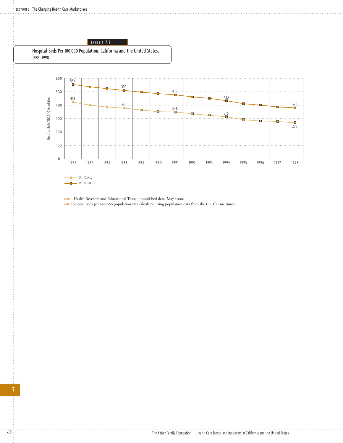

source: Health Research and Educational Trust, unpublished data, May 2000. NOTE: Hospital beds per 100,000 population was calculated using population data from the U.S. Census Bureau.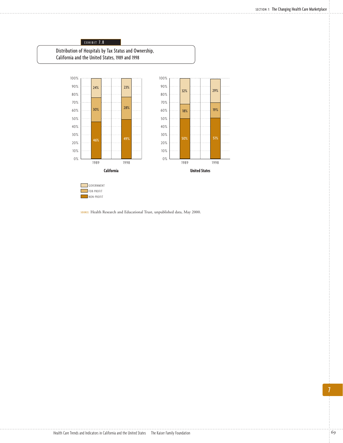

SOURCE: Health Research and Educational Trust, unpublished data, May 2000.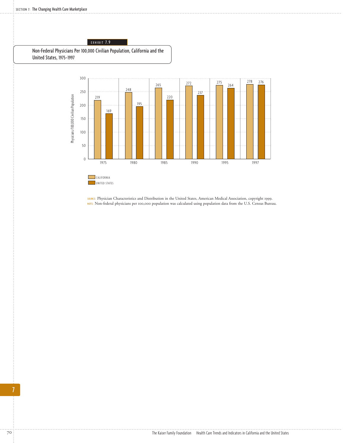# EXHIBIT 7.9

Non-Federal Physicians Per 100,000 Civilian Population, California and the United States, 1975–1997



.

.

SOURCE: Physician Characteristics and Distribution in the United States, American Medical Association, copyright 1999. NOTE: Non-federal physicians per 100,000 population was calculated using population data from the U.S. Census Bureau.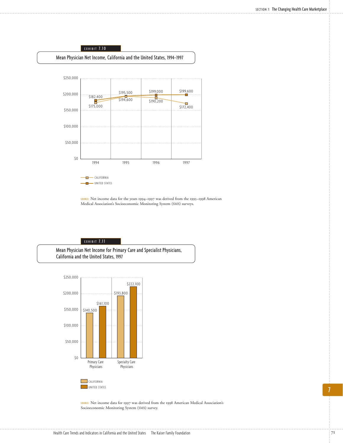

.

. .

source: Net income data for the years 1994-1997 was derived from the 1995-1998 American Medical Association's Socioeconomic Monitoring System (SMS) surveys.

## EXHIBIT 7.11

Mean Physician Net Income for Primary Care and Specialist Physicians, California and the United States, 1997



SOURCE: Net income data for 1997 was derived from the 1998 American Medical Association's Socioeconomic Monitoring System (SMS) survey.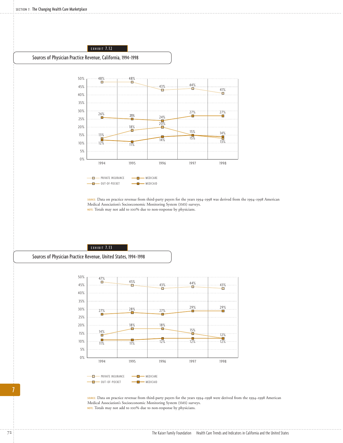. . . . . . . . . . . . . . . .





source: Data on practice revenue from third-party payers for the years 1994-1998 were derived from the 1994-1998 American Medical Association's Socioeconomic Monitoring System (SMS) surveys. NOTE: Totals may not add to 100% due to non-response by physicians.

.

.

7

. . . . . . . . . . . . . . . . .<br>, . . . . . . . . . . . . . . . . . . . . . . . . . . . . . . . . . . . . . . . . . . . . . . . . . . . . . . . . . . . . . . . . . . . . . . . . . . . . . . . . . . . . . . . . . . . . . . . . . . . . . . .